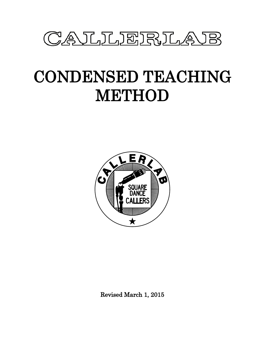

# CONDENSED TEACHING METHOD



Revised March 1, 2015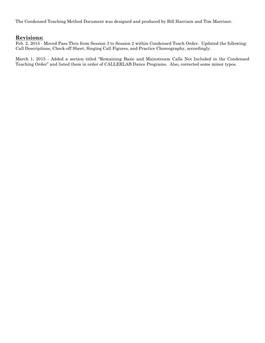The Condensed Teaching Method Document was designed and produced by Bill Harrison and Tim Marriner.

# **Revisions:**

Feb. 2, 2015 - Moved Pass Thru from Session 3 to Session 2 within Condensed Teach Order. Updated the following; Call Descriptions, Check-off Sheet, Singing Call Figures, and Practice Choreography, accordingly.

March 1, 2015 - Added a section titled "Remaining Basic and Mainstream Calls Not Included in the Condensed Teaching Order" and listed them in order of CALLERLAB Dance Programs. Also, corrected some minor typos.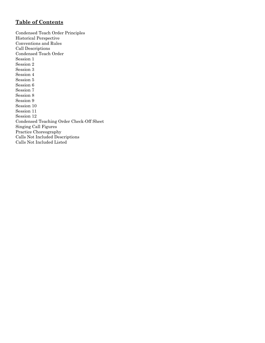# **Table of Contents**

Condensed Teach Order Principles Historical Perspective Conventions and Rules Call Descriptions Condensed Teach Order Session 1 Session 2 Session 3 Session 4 Session 5 Session 6 Session 7 Session 8 Session 9 Session 10 Session 11 Session 12 Condensed Teaching Order Check-Off Sheet Singing Call Figures Practice Choreography Calls Not Included Descriptions Calls Not Included Listed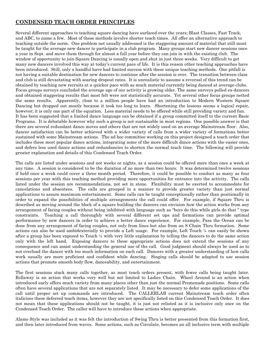# **CONDENSED TEACH ORDER PRINCIPLES**

Several different approaches to teaching square dancing have surfaced over the years; Blast Classes, Fast Track, and ABC, to name a few. Most of these methods involve shorter teach times. All offer an alternative approach to teaching outside the norm. One problem not usually addressed is the staggering amount of material that still must be taught for the average new dancer to participate in a club program. Many groups start new dancer sessions once a year in Sept. and move them through for almost a full year before they can join in with the existing club. The window of opportunity to join Square Dancing is usually open and shut in just three weeks. Very difficult to get many new dancers involved this way at today's current pace of life. It is this reason other teaching approaches have been introduced. Still, only a handful have had limited success with these unique teaching methods. One pitfall is not having a suitable destination for new dancers to continue after the session is over. The transition between class and club is still devastating with soaring dropout rates. It is unrealistic to assume a reversal of this trend can be obtained by teaching new recruits at a quicker pace with as much material currently being danced at average clubs. Focus groups surveys concluded the average age of our activity is growing older. The same surveys polled ex-dancers and obtained staggering results that most felt were not statistically accurate. Yet several other focus groups netted the same results. Apparently, close to a million people have had an introduction to Modern Western Square Dancing but dropped out mostly because it took too long to learn. Shortening the lessons seems a logical repair, however; it is only one part of the equation. Less material needs to be offered while still providing variety and fun. It has been suggested that a limited dance language can be obtained if a group committed itself to the current Basic Programs. It is debatable however why such a group is not sustainable in most regions. One possible answer is that there are several redundant dance moves and others that are not widely used on an average Mainstream floor. Also, dancer satisfaction can be better achieved with a wider variety of calls from a wider variety of formations better sustained with some Mainstream actions. The ad hoc committee working on this project designed a teach order that includes these most popular dance actions, integrating some of the more difficult dance actions with the easier ones, and defers less used dance actions and redundancies to shorten the normal teach time. The following will provide greater explanation and details of this Condensed Teach Order.

The calls are listed under sessions and not weeks or nights, as a session could be offered more than once a week at any time. A session is considered to be the duration of no more than two hours. It was determined twelve sessions if held once a week could cover a three month period. Therefore, it could be possible to conduct as many as four sessions per year with this teaching method providing more opportunities for entrance into the activity. The calls listed under the session are recommendations, not set in stone. Flexibility must be exerted to accommodate for cancelations and absentees. The calls are grouped in a manner to provide greater variety than just normal applications to assure maximum entertainment. Some calls can be taught conceptionally rather than positionally in order to expand the possibilities of multiple arrangements the call could offer. For example, if Square Thru is described as moving around the block of a square building the dancers can envision how the action works from any arrangement of facing couples without being inhibited with language such as "boys do this while girls do that " type constraints. Teaching a call thoroughly with several different set ups and formations can provide optimal performance by new dancers in order to achieve a better dance experience. For example, Pass the Ocean can be done from any arrangement of facing couples, not only from lines but also from an 8 Chain Thru formation. Some actions can also be used ambidexterially to provide a Left usage. For example, Left Touch  $\frac{1}{4}$  can easily be shown after a group has been exposed to Touch ¼ with very little explanation by telling the dancers to do the same action only with the left hand. Exposing dancers to these appropriate actions does not extend the sessions of any consequence and can assist understanding the general use of the call. Good judgment should always be used as to not overload the dancer with too much information on each call. Dancers with a greater understanding of how calls work usually are more proficient and confident while dancing. Singing calls should be adapted to use session actions that promote smooth body flow, danceability, and entertainment.

The first sessions stack many calls together, as most teach orders present, with fewer calls being taught later. Rollaway is an action that works very well but not limited to Ladies Chain. Wheel Around is an action when introduced early offers much variety from many places other than just the normal Promenade positions. Some calls often have several applications that are not separately listed. It may be necessary to defer some applications of the call until proper set up commands are introduced. The CALLERLAB current Mainstream teach order often italicizes these deferred teach items, however they are not specifically listed on this Condensed Teach Order. It does not mean that these applications should not be taught, it is just not relisted as it is inclusive only once on the Condensed Teach Order. The caller will have to introduce these actions when appropriate.

Alamo Style was included as it was felt the introduction of Swing Thru is better presented from this formation first, and then later introduced from waves. Some actions, such as Circulate, becomes an all inclusive term with multiple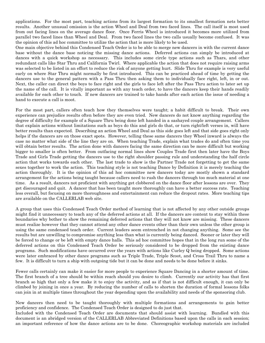applications. For the most part, teaching actions from its largest formation to its smallest formation nets better results. Another unusual omission is the action Wheel and Deal from two faced lines. The call itself is most used from out facing lines on the average dance floor. Once Ferris Wheel is introduced it becomes more utilized from parallel two faced lines than Wheel and Deal. From two faced lines the two calls usually become confused. It was the opinion of this ad hoc committee to utilize the action that is more likely to be used.

One main objective behind this Condensed Teach Order is to be able to merge new dancers in with the current dance base without the dance base noticing the missing dance actions. Deferred actions can simply be introduced at dances with a quick workshop as necessary. This includes some circle type actions such as Thars, and other redundant calls like Star Thru and California Twirl. Where applicable the action that does not require raising arms was selected to be listed in an effort to reduce the risk of anyone getting hurt. Slide Thru for example is very useful early on where Star Thru might normally be first introduced. This can be practiced ahead of time by getting the dancers use to the general pattern with a Pass Thru then asking them to individually face right, left, in or out. Next, the caller can direct the boys to face right and the girls to face left after the Pass Thru action to later set up the name of the call. It is vitally important as with any teach order, to have the dancers keep their hands readily available for each other to touch. If new dancers are trained to take hands after each action the issue of needing a hand to execute a call is moot.

For the most part, callers often teach how they themselves were taught; a habit difficult to break. Their own experience can prejudice results often before they are even tried. New dancers do not know anything regarding the degree of difficulty for example of a Square Thru being done left handed in a sashayed couple arrangement. Callers that explain actions without limitations such as boys do this and girls do that, or turn right/left verses in, will have better results than expected. Describing an action Wheel and Deal as this side goes left and that side goes right only helps if the dancers are on those exact spots. However, telling these same dancers they Wheel inward is always the case no matter what side of the line they are on. When teaching Trade, explain what trades do and often time you will obtain better results. The action done with dancers facing the same direction can be more difficult but working bigger to smaller is often better. From outfacing normal lines show Couples Trade first then later have the Boys Trade and Girls Trade getting the dancers use to the right shoulder passing rule and understanding the half circle action that works towards each other. The last trade to show is the Partner Trade not forgetting to get the same sexes together to work the action. This teaching style is not teaching Dance by Definition it is merely teaching the action thoroughly. It is the opinion of this ad hoc committee new dancers today are mostly shown a standard arrangement for the actions being taught because callers need to rush the dancers through too much material at one time. As a result, dancers not proficient with anything get clobbered on the dance floor after lessons are over. They get discouraged and quit. A dancer that has been taught more thoroughly can have a better success rate. Teaching less overall, but focusing on more thoroughness and entertainment can reduce the dropout rates. More teaching tips are available on the CALLERLAB web site.

A group that uses this Condensed Teach Order method of learning that is not affected by any other outside groups might find it unnecessary to teach any of the deferred actions at all. If the dancers are content to stay within these boundaries why bother to show the remaining deferred actions that they will not know are missing. These dancers must realize however that they cannot attend any other dance events other than their own unless the other group is using the same condensed teach order. Current leaders seem entrenched in not changing anything. Some see the results but are unwilling to compromise anything less than what is currently being danced. Sooner or later they will be forced to change or be left with empty dance halls. This ad hoc committee hopes that in the long run some of the deferred actions on this Condensed Teach Order be seriously considered to be dropped from the existing dance programs. Such modifications have occurred over the years with actions like Curley Q being dropped. Some actions were later embraced by other dance programs such as Triple Trade, Triple Scoot, and Cross Trail Thru to name a few. It is difficult to turn a ship with outgoing tide but it can be done and needs to be done before it sinks.

Fewer calls certainly can make it easier for more people to experience Square Dancing in a shorter amount of time. The first branch of a tree should be within reach should you desire to climb. Currently our activity has that first branch so high that only a few make it to enjoy the activity, and as if that is not difficult enough, it can only be climbed by joining in once a year. By reducing the number of calls to shorten the duration of formal lessons folks can join in at multiple times throughout the year depending upon the availability and needs of the sponsoring club.

New dancers then need to be taught thoroughly with multiple formations and arrangements to gain better proficiency and confidence. The Condensed Teach Order is designed to do just that. Included with the Condensed Teach Order are documents that should assist with learning. Bundled with this

document is an abridged version of the CALLERLAB Abbreviated Definitions based upon the calls in each session; an important reference of how the dance actions are to be done. Choreographic workshop materials are included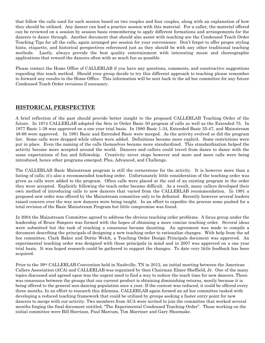that follow the calls used for each session based on two couples and four couples, along with an explanation of how they should be utilized. Any dancer can lead a practice session with this material. For a caller, the material offered can be reviewed on a session by session basis remembering to apply different formations and arrangements for the dancers to dance through. Another document that should also assist with teaching are the Condensed Teach Order Teaching Tips for all the calls, again arranged per session for your convenience. Don't forget to offer proper styling hints, etiquette, and historical perspectives referenced just as they should be with any other traditional teaching methods. Lastly, always provide the best quality entertainment with interesting music and choreographic applications that reward the dancers often with as much fun as possible.

Please contact the Home Office of CALLERLAB if you have any questions, comments, and constructive suggestions regarding this teach method. Should your group decide to try this different approach to teaching please remember to forward any results to the Home Office. This information will be sent back to the ad hoc committee for any future Condensed Teach Order revisions if necessary.

# **HISTORICAL PERSPECTIVE**

A brief reflection of the past should provide better insight to the proposed CALLERLAB Teaching Order of the future. In 1974 CALLERLAB adopted the Sets in Order Basic 50 program of calls as well as the Extended 75. In 1977 Basic 1-38 was approved on a one year trial basis. In 1980 Basic 1-34, Extended Basic 35-47, and Mainstream 48-68 were approved. In 1981 Basic and Extended Basic were merged. As the activity evolved so did the program list. Some calls were dropped while others were added. Definitions became more explicit. Some restrictions were put in place. Even the naming of the calls themselves became more standardized. This standardization helped the activity become more accepted around the world. Dancers and callers could travel from dance to dance with the same expectations of fun and fellowship. Creativity never stops however and more and more calls were being introduced, hence other programs emerged; Plus, Advanced, and Challenge.

The CALLERLAB Basic Mainstream program is still the cornerstone for the activity. It is however more than a listing of calls; it's also a recommended teaching order. Unfortunately little consideration of the teaching order was given as calls were added to the program. Often calls were placed at the end of an existing program in the order they were accepted. Explicitly following the teach order became difficult. As a result, many callers developed their own method of introducing calls to new dancers that varied from the CALLERLAB recommendation. In 1991 a proposed new order was offered by the Mainstream committee only to be defeated. Recently however several leaders raised concern over the way new dancers were being taught. In an effort to expedite the process some pushed for a total revision of the Basic Mainstream Program but little compromise was found.

In 2004 the Mainstream Committee agreed to address the obvious teaching order problems. A focus group under the leadership of Bruce Simpers was formed with the hopes of obtaining a more concise teaching order. Several ideas were submitted but the task of reaching a consensus became daunting. An agreement was made to compile a document describing the principals of designing a new teaching order to rationalize changes. With help from the ad hoc committee, Clark Baker and Dottie Welch, a Teaching Order Design Principals document was approved. An experimental teaching order was designed with these principals in mind and in 2007 was approved on a one year trial basis. It was hoped research could be gathered to support the changes. To date very little feedback has been acquired.

Prior to the 39th CALLERLAB Convention held in Nashville, TN in 2012, an initial meeting between the American Callers Association (ACA) and CALLERLAB was organized by then Chairman Elmer Sheffield, Jr. One of the many topics discussed and agreed upon was the urgent need to find a way to reduce the teach time for new dancers. There was consensus between the groups that our current product is obtaining diminishing returns, mostly because it is being offered to the general non-dancing population once a year. If the content was reduced, it could be offered every three months. In an effort to research this dilemma, CALLERLAB again formed an ad hoc committee tasked with developing a reduced teaching framework that could be utilized by groups seeking a faster entry point for new dancers to merge with our activity. Two members from ACA were invited to join the committee that worked several months forging the final document entitled, "The Experimental Condensed Teaching Order". Those working on the initial committee were Bill Harrison, Paul Marcum, Tim Marriner and Gary Shoemake.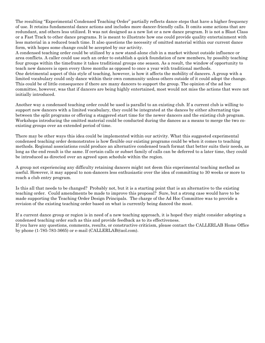The resulting "Experimental Condensed Teaching Order" partially reflects dance steps that have a higher frequency of use. It retains fundamental dance actions and includes more dancer-friendly calls. It omits some actions that are redundant, and others less utilized. It was not designed as a new list or a new dance program. It is not a Blast Class or a Fast Track to other dance programs. It is meant to illustrate how one could provide quality entertainment with less material in a reduced teach time. It also questions the necessity of omitted material within our current dance form, with hopes some change could be accepted by our activity.

A condensed teaching order could be utilized by a new stand-alone club in a market without outside influence or area conflicts. A caller could use such an order to establish a quick foundation of new members, by possibly teaching four groups within the timeframe it takes traditional groups one season. As a result, the window of opportunity to teach new dancers is open every three months as opposed to once a year with traditional methods. One detrimental aspect of this style of teaching, however, is how it affects the mobility of dancers. A group with a limited vocabulary could only dance within their own community unless others outside of it could adopt the change. This could be of little consequence if there are many dancers to support the group. The opinion of the ad hoc committee, however, was that if dancers are being highly entertained, most would not miss the actions that were not initially introduced.

Another way a condensed teaching order could be used is parallel to an existing club. If a current club is willing to support new dancers with a limited vocabulary, they could be integrated at the dances by either alternating tips between the split programs or offering a staggered start time for the newer dancers and the existing club program. Workshops introducing the omitted material could be conducted during the dances as a means to merge the two coexisting groups over an extended period of time.

There may be other ways this idea could be implemented within our activity. What this suggested experimental condensed teaching order demonstrates is how flexible our existing programs could be when it comes to teaching methods. Regional associations could produce an alternative condensed teach format that better suits their needs, as long as the end result is the same. If certain calls or subset family of calls can be deferred to a later time, they could be introduced as directed over an agreed upon schedule within the region.

A group not experiencing any difficulty retaining dancers might not deem this experimental teaching method as useful. However, it may appeal to non-dancers less enthusiastic over the idea of committing to 30 weeks or more to reach a club entry program.

Is this all that needs to be changed? Probably not, but it is a starting point that is an alternative to the existing teaching order. Could amendments be made to improve this proposal? Sure, but a strong case would have to be made supporting the Teaching Order Design Principals. The charge of the Ad Hoc Committee was to provide a revision of the existing teaching order based on what is currently being danced the most.

If a current dance group or region is in need of a new teaching approach, it is hoped they might consider adopting a condensed teaching order such as this and provide feedback as to its effectiveness. If you have any questions, comments, results, or constructive criticism, please contact the CALLERLAB Home Office by phone (1-785-783-3665) or e-mail (CALLERLAB@aol.com).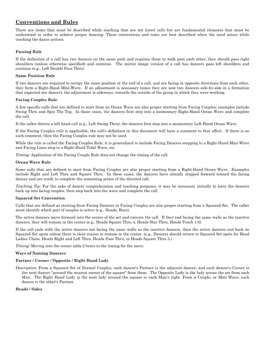# **Conventions and Rules**

There are items that must be described while teaching that are not listed calls but are fundamental elements that must be understood in order to achieve proper dancing. These conventions and rules are best described when the need arises while teaching the dance actions.

## **Passing Rule**

If the definition of a call has two dancers on the same path and requires them to walk past each other, they should pass right shoulders (unless otherwise specified) and continue. The mirror image version of a call has dancers pass left shoulders and continue (e.g., Left Double Pass Thru).

#### **Same Position Rule**

If two dancers are required to occupy the same position at the end of a call, and are facing in opposite directions from each other, they form a Right-Hand Mini-Wave. If an adjustment is necessary (since they are now two dancers side-by-side in a formation that expected one dancer), the adjustment is sideways, towards the outside of the group in which they were working.

#### **Facing Couples Rule**

A few specific calls that are defined to start from an Ocean Wave are also proper starting from Facing Couples; examples include Swing Thru and Spin The Top. In these cases, the dancers first step into a momentary Right-Hand Ocean Wave and complete the call.

If the caller directs a left hand call (e.g., Left Swing Thru), the dancers first step into a momentary Left-Hand Ocean Wave.

If the Facing Couples rule is applicable, the call's definition in this document will have a comment to that effect. If there is no such comment, then the Facing Couples rule may not be used.

While the rule is called the Facing Couples Rule, it is generalized to include Facing Dancers stepping to a Right-Hand Mini-Wave and Facing Lines step to a Right-Hand Tidal Wave, etc.

*Timing:* Application of the Facing Couple Rule does not change the timing of the call.

## **Ocean Wave Rule**

Some calls that are defined to start from Facing Couples are also proper starting from a Right-Hand Ocean Wave. Examples include Right and Left Thru and Square Thru. In these cases, the dancers have already stepped forward toward the facing dancer and are ready to complete the remaining action of the directed call.

*Teaching Tip:* For the sake of dancer comprehension and teaching purposes, it may be necessary initially to have the dancers back up into facing couples, then step back into the wave and complete the call.

#### **Squared Set Convention**

Calls that are defined as starting from Facing Dancers or Facing Couples are also proper starting from a Squared Set. The caller must identify which pair of couples is active (e.g., Heads, Boys).

The active dancers move forward into the center of the set and execute the call. If they end facing the same walls as the inactive dancers, they will remain in the center (e.g., Heads Square Thru 4, Heads Star Thru, Heads Touch 1/4).

If the call ends with the active dancers not facing the same walls as the inactive dancers, then the active dancers end back on Squared Set spots unless there is clear reason to remain in the center. (e.g., Dancers should return to Squared Set spots for Head Ladies Chain, Heads Right and Left Thru, Heads Pass Thru, or Heads Square Thru 3.)

*Timing:* Moving into the center adds 2 beats to the timing for the move.

#### **Ways of Naming Dancers**

## **Partner / Corner / Opposite / Right Hand Lady**

*Description:* From a Squared Set of Normal Couples, each dancer's Partner is the adjacent dancer, and each dancer's Corner is the next dancer "around the nearest corner of the square" from them. The Opposite Lady is the lady across the set from each Man. The Right Hand Lady is the next lady around the square to each Man's right. From a Couple, or Mini Wave, each dancer is the other's Partner.

#### **Heads / Sides**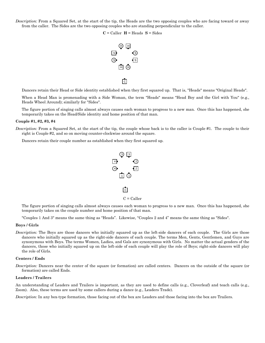*Description:* From a Squared Set, at the start of the tip, the Heads are the two opposing couples who are facing toward or away from the caller. The Sides are the two opposing couples who are standing perpendicular to the caller.

#### $C =$  Caller  $H =$  Heads  $S =$  Sides



Dancers retain their Head or Side identity established when they first squared up. That is, "Heads" means "Original Heads".

When a Head Man is promenading with a Side Woman, the term "Heads" means "Head Boy and the Girl with You" (e.g., Heads Wheel Around); similarly for "Sides".

The figure portion of singing calls almost always causes each woman to progress to a new man. Once this has happened, she temporarily takes on the Head/Side identity and home position of that man.

#### **Couple #1, #2, #3, #4**

*Description:* From a Squared Set, at the start of the tip, the couple whose back is to the caller is Couple #1. The couple to their right is Couple #2, and so on moving counter-clockwise around the square.

Dancers retain their couple number as established when they first squared up.



The figure portion of singing calls almost always causes each woman to progress to a new man. Once this has happened, she temporarily takes on the couple number and home position of that man.

"Couples 1 And 3" means the same thing as "Heads". Likewise, "Couples 2 and 4" means the same thing as "Sides".

#### **Boys / Girls**

*Description:* The Boys are those dancers who initially squared up as the left-side dancers of each couple. The Girls are those dancers who initially squared up as the right-side dancers of each couple. The terms Men, Gents, Gentlemen, and Guys are synonymous with Boys. The terms Women, Ladies, and Gals are synonymous with Girls. No matter the actual genders of the dancers, those who initially squared up on the left-side of each couple will play the role of Boys; right-side dancers will play the role of Girls.

#### **Centers / Ends**

*Description:* Dancers near the center of the square (or formation) are called centers. Dancers on the outside of the square (or formation) are called Ends.

#### **Leaders / Trailers**

An understanding of Leaders and Trailers is important, as they are used to define calls (e.g., Cloverleaf) and teach calls (e.g., Zoom). Also, these terms are used by some callers during a dance (e.g., Leaders Trade).

*Description:* In any box-type formation, those facing out of the box are Leaders and those facing into the box are Trailers.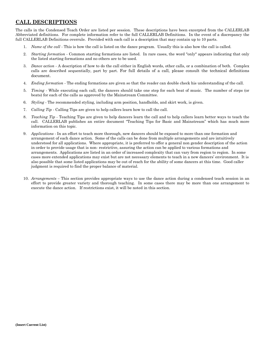# **CALL DESCRIPTIONS**

The calls in the Condensed Teach Order are listed per session. These descriptions have been excerpted from the CALLERLAB Abbreviated definitions. For complete information refer to the full CALLERLAB Definitions. In the event of a discrepancy the full CALLERLAB Definitions overrule. Provided with each call is a description that may contain up to 10 parts.

- 1. *Name of the call -* This is how the call is listed on the dance program. Usually this is also how the call is called.
- 2. *Starting formation -* Common starting formations are listed. In rare cases, the word "only" appears indicating that only the listed starting formations and no others are to be used.
- 3. *Dance action -* A description of how to do the call either in English words, other calls, or a combination of both. Complex calls are described sequentially, part by part. For full details of a call, please consult the technical definitions document.
- 4. *Ending formation -* The ending formations are given so that the reader can double check his understanding of the call.
- 5. *Timing -* While executing each call, the dancers should take one step for each beat of music. The number of steps (or beats) for each of the calls as approved by the Mainstream Committee.
- 6. *Styling -* The recommended styling, including arm position, handholds, and skirt work, is given.
- 7. *Calling Tip -* Calling Tips are given to help callers learn how to call the call.
- 8. *Teaching Tip -* Teaching Tips are given to help dancers learn the call and to help callers learn better ways to teach the call. CALLERLAB publishes an entire document "Teaching Tips for Basic and Mainstream" which has much more information on this topic.
- 9. *Applications -* In an effort to teach more thorough, new dancers should be exposed to more than one formation and arrangement of each dance action. Some of the calls can be done from multiple arrangements and are intuitively understood for all applications. Where appropriate, it is preferred to offer a general non gender description of the action in order to provide usage that is non- restrictive, assuring the action can be applied to various formations and arrangements. Applications are listed in an order of increased complexity that can vary from region to region. In some cases more extended applications may exist but are not necessary elements to teach in a new dancers' environment. It is also possible that some listed applications may be out of reach for the ability of some dancers at this time. Good caller judgment is required to find the proper balance of material.
- 10. *Arrangements –* This section provides appropriate ways to use the dance action during a condensed teach session in an effort to provide greater variety and thorough teaching. In some cases there may be more than one arrangement to execute the dance action. If restrictions exist, it will be noted in this section.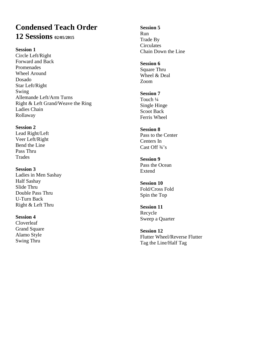# **Condensed Teach Order 12 Sessions 02/05/2015**

**Session 1**

Circle Left/Right Forward and Back Promenades Wheel Around Dosado Star Left/Right Swing Allemande Left/Arm Turns Right & Left Grand/Weave the Ring Ladies Chain Rollaway

**Session 2** Lead Right/Left Veer Left/Right Bend the Line Pass Thru **Trades** 

**Session 3** Ladies in Men Sashay Half Sashay Slide Thru Double Pass Thru U-Turn Back Right & Left Thru

**Session 4** Cloverleaf Grand Square Alamo Style Swing Thru

**Session 5** Run Trade By **Circulates** Chain Down the Line

**Session 6** Square Thru Wheel & Deal Zoom

**Session 7** Touch ¼ Single Hinge Scoot Back Ferris Wheel

**Session 8** Pass to the Center Centers In Cast Off ¾'s

**Session 9** Pass the Ocean Extend

**Session 10** Fold/Cross Fold Spin the Top

**Session 11** Recycle Sweep a Quarter

**Session 12** Flutter Wheel/Reverse Flutter Tag the Line/Half Tag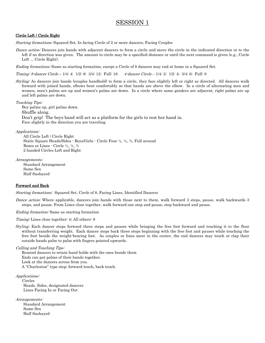# SESSION 1

## Circle Left / Circle Right

Starting formations: Squared Set, In facing Circle of 2 or more dancers, Facing Couples

Dance action: Dancers join hands with adjacent dancers to form a circle and move the circle in the indicated direction or to the left if no direction was given. The amount to circle may be a specified distance or until the next command is given (e.g., Circle Left ... Circle Right).

Ending formations: Same as starting formation, except a Circle of 8 dancers may end at home in a Squared Set.

Timing: 8-dancer Circle – 1/4: 4; 1/2: 8; 3/4: 12; Full: 16 4-dancer Circle – 1/4: 2; 1/2: 4; 3/4: 6; Full: 8

Styling: As dancers join hands (couples handhold) to form a circle, they face slightly left or right as directed. All dancers walk forward with joined hands, elbows bent comfortably so that hands are above the elbow. In a circle of alternating men and women, men's palms are up and women's palms are down. In a circle where same genders are adjacent, right palms are up and left palms are down.

Teaching Tips:

Boy palms up, girl palms down. Shuffle along. Don't grip! The boys hand will act as a platform for the girls to rest her hand in. Face slightly in the direction you are traveling.

Applications:

All Circle Left / Circle Right Static Square Heads/Sides - Boys/Girls - Circle Four ¼, ½, ¾, Full around Boxes or Lines - Circle ¼, ½, ¾ 2 handed Circles Left and Right

Arrangements:

Standard Arrangement Same Sex Half Sashayed

# Forward and Back

Starting formations: Squared Set, Circle of 8, Facing Lines, Identified Dancers

Dance action: Where applicable, dancers join hands with those next to them, walk forward 3 steps, pause, walk backwards 3 steps, and pause. From Lines close together, walk forward one step and pause, step backward and pause.

Ending formation: Same as starting formation

Timing: Lines close together: 4; All others: 8

*Styling:* Each dancer steps forward three steps and pauses while bringing the free foot forward and touching it to the floor without transferring weight. Each dancer steps back three steps beginning with the free foot and pauses while touching the free foot beside the weight-bearing foot. As couples or lines meet in the center, the end dancers may touch or clap their outside hands palm to palm with fingers pointed upwards.

Calling and Teaching Tips: Remind dancers to retain hand holds with the ones beside them Ends can pat palms of their hands together. Look at the dancers across from you. A "Charleston" type step; forward touch, back touch.

Applications: Circles Heads, Sides, designated dancers Lines Facing In or Facing Out

Arrangements: Standard Arrangement Same Sex Half Sashayed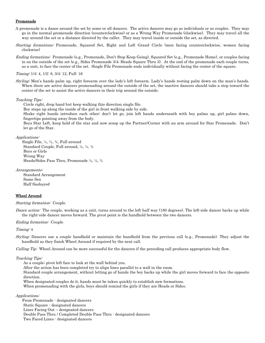#### **Promenade**

- A promenade is a dance around the set by some or all dancers. The active dancers may go as individuals or as couples. They may go in the normal promenade direction (counterclockwise) or as a Wrong Way Promenade (clockwise). They may travel all the way around the set or a distance directed by the caller. They may travel inside or outside the set, as directed.
- Starting formations: Promenade, Squared Set, Right and Left Grand Circle (men facing counterclockwise, women facing clockwise)
- Ending formations: Promenade (e.g., Promenade, Don't Stop Keep Going), Squared Set (e.g., Promenade Home), or couples facing in on the outside of the set (e.g., Sides Promenade 3/4; Heads Square Thru 3). At the end of the promenade each couple turns, as a unit, to face the center of the set. Single File Promenade ends individually without facing the center of the square.

Timing: 1/4: 4, 1/2: 8, 3/4: 12, Full: 16

Styling: Men's hands palm up, right forearm over the lady's left forearm. Lady's hands resting palm down on the man's hands. When there are active dancers promenading around the outside of the set, the inactive dancers should take a step toward the center of the set to assist the active dancers in their trip around the outside.

#### Teaching Tips:

Circle right, drop hand but keep walking this direction single file.

Boy steps up along the inside of the girl in front walking side by side.

Shake right hands introduce each other; don't let go, join left hands underneath with boy palms up, girl palms down, fingertips pointing away from the body.

Boys Star Left, keep hold of the star and now scoop up the Partner/Corner with an arm around for Star Promenade. Don't let go of the Star.

#### Applications:

 Single File, ¼, ½, ¾, Full around Standard Couple, Full around, ½, ¼, ¾ Boys or Girls Wrong Way Heads/Sides Pass Thru, Promenade ½, ¼, ¾

Arrangements:

Standard Arrangement Same Sex Half Sashayed

#### Wheel Around

#### Starting formation: Couple.

Dance action: The couple, working as a unit, turns around to the left half way (180 degrees). The left-side dancer backs up while the right-side dancer moves forward. The pivot point is the handhold between the two dancers.

#### Ending formation: Couple

Timing: 4

*Styling:* Dancers use a couple handhold or maintain the handhold from the previous call (e.g., Promenade). They adjust the handhold as they finish Wheel Around if required by the next call.

Calling Tip: Wheel Around can be more successful for the dancers if the preceding call produces appropriate body flow.

Teaching Tips:

As a couple; pivot left face to look at the wall behind you.

After the action has been completed try to align lines parallel to a wall in the room.

Standard couple arrangement, without letting go of hands the boy backs up while the girl moves forward to face the opposite direction.

When designated couples do it, hands must be taken quickly to establish new formations.

When promenading with the girls, boys should remind the girls if they are Heads or Sides.

Applications:

 From Promenade - designated dancers Static Square - designated dancers Lines Facing Out – designated dancers Double Pass Thru / Completed Double Pass Thru - designated dancers Two Faced Lines - designated dancers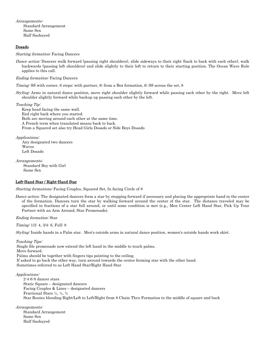Arrangements:

Standard Arrangement Same Sex Half Sashayed

## Dosado

Starting formation: Facing Dancers

Dance action: Dancers walk forward (passing right shoulders), slide sideways to their right (back to back with each other), walk backwards (passing left shoulders) and slide slightly to their left to return to their starting position. The Ocean Wave Rule applies to this call.

Ending formation: Facing Dancers

Timing: SS with corner, 6 steps; with partner, 6; from a Box formation, 6; SS across the set, 8

Styling: Arms in natural dance position, move right shoulder slightly forward while passing each other by the right. Move left shoulder slightly forward while backup up passing each other by the left.

Teaching Tip:

Keep head facing the same wall. End right back where you started. Both are moving around each other at the same time. A French term when translated means back to back. From a Squared set also try Head Girls Dosado or Side Boys Dosado

Applications:

 Any designated two dancers Waves Left Dosado

Arrangements:

Standard Boy with Girl Same Sex

## Left-Hand Star / Right-Hand Star

Starting formations: Facing Couples, Squared Set, In facing Circle of 8

*Dance action:* The designated dancers form a star by stepping forward if necessary and placing the appropriate hand in the center of the formation. Dancers turn the star by walking forward around the center of the star. The distance traveled may be specified in fractions of a star full around, or until some condition is met (e.g., Men Center Left Hand Star, Pick Up Your Partner with an Arm Around, Star Promenade).

Ending formation: Star

Timing: 1/2: 4, 3/4: 6, Full: 8

Styling: Inside hands in a Palm star. Men's outside arms in natural dance position, women's outside hands work skirt.

Teaching Tips:

Single file promenade now extend the left hand in the middle to touch palms. Move forward. Palms should be together with fingers tips pointing to the ceiling. If asked to go back the other way, turn around towards the center forming star with the other hand. Sometimes referred to as Left Hand Star/Right Hand Star

Applications:

2-4-6-8 dancer stars Static Square – designated dancers Facing Couples & Lines – designated dancers Fractional Stars ¼, ½, ¾ Star Routes blending Right/Left to Left/Right from 8 Chain Thru Formation to the middle of square and back

Arrangements: Standard Arrangement Same Sex

Half Sashayed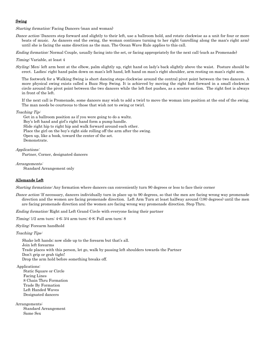## Swing

Starting formation: Facing Dancers (man and woman)

Dance action: Dancers step forward and slightly to their left, use a ballroom hold, and rotate clockwise as a unit for four or more beats of music. As dancers end the swing, the woman continues turning to her right (unrolling along the man's right arm) until she is facing the same direction as the man. The Ocean Wave Rule applies to this call.

Ending formation: Normal Couple, usually facing into the set, or facing appropriately for the next call (such as Promenade)

#### Timing: Variable, at least 4

Styling: Men: left arm bent at the elbow, palm slightly up, right hand on lady's back slightly above the waist. Posture should be erect. Ladies: right hand palm down on man's left hand, left hand on man's right shoulder, arm resting on man's right arm.

The footwork for a Walking Swing is short dancing steps clockwise around the central pivot point between the two dancers. A more physical swing exists called a Buzz Step Swing. It is achieved by moving the right foot forward in a small clockwise circle around the pivot point between the two dancers while the left foot pushes, as a scooter motion. The right foot is always in front of the left.

If the next call is Promenade, some dancers may wish to add a twirl to move the woman into position at the end of the swing. The man needs be courteous to those that wish not to swing or twirl.

#### Teaching Tip:

Get in a ballroom position as if you were going to do a waltz. Boy's left hand and girl's right hand form a pump handle. Slide right hip to right hip and walk forward around each other. Place the girl on the boy's right side rolling off the arm after the swing. Open up, like a book, toward the center of the set. Demonstrate.

Applications: Partner, Corner, designated dancers

Arrangements: Standard Arrangement only

# Allemande Left

Starting formations: Any formation where dancers can conveniently turn 90 degrees or less to face their corner

Dance action: If necessary, dancers individually turn in place up to 90 degrees, so that the men are facing wrong way promenade direction and the women are facing promenade direction. Left Arm Turn at least halfway around (180 degrees) until the men are facing promenade direction and the women are facing wrong way promenade direction. Step Thru.

Ending formation: Right and Left Grand Circle with everyone facing their partner

Timing: 1/2 arm turn: 4-6; 3/4 arm turn: 6-8; Full arm turn: 8

#### Styling: Forearm handhold

Teaching Tips:

 Shake left hands; now slide up to the forearm but that's all. Join left forearms Trade places with this person, let go, walk by passing left shoulders towards the Partner Don't grip or grab tight! Drop the arm hold before something breaks off.

Applications:

Static Square or Circle Facing Lines 8 Chain Thru Formation Trade By Formation Left Handed Waves Designated dancers

Arrangements:

Standard Arrangement Same Sex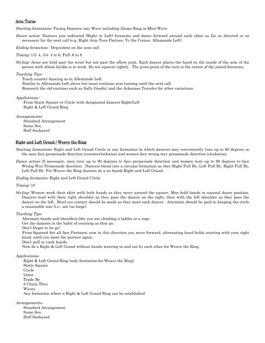## Arm Turns

Starting formations: Facing Dancers; any Wave including Alamo Ring or Mini-Wave

Dance action: Dancers join indicated (Right or Left) forearms and dance forward around each other as far as directed or as necessary for the next call (e.g. Right Arm Turn Partner, To the Corner, Allemande Left).

Ending formation: Dependent on the next call

Timing: 1/2: 4, 3/4: 4 to 6, Full: 6 to 8

Styling: Arms are held past the wrist but not past the elbow joint. Each dancer places the hand on the inside of the arm of the person with whom he/she is to work. Do not squeeze tightly. The pivot point of the turn is the center of the joined forearms.

#### Teaching Tips:

 Teach counter dancing as in Allemande Left. Similar to Allemande Left above but must continue arm turning until the next call. Research the old routines such as Sally Goodin' and the Arkansas Traveler for other variations.

Applications:

From Static Square or Circle with designated dancers Right/Left Right & Left Grand Ring

Arrangements: Standard Arrangement Same Sex Half Sashayed

## Right and Left Grand / Weave the Ring

Starting formations: Right and Left Grand Circle or any formation in which dancers may conveniently turn up to 90 degrees so the men face promenade direction (counterclockwise) and women face wrong way promenade direction (clockwise).

Dance action: If necessary, men turn up to 90 degrees to face promenade direction and women turn up to 90 degrees to face Wrong Way Promenade direction. Dancers blend into a circular formation as they Right Pull By, Left Pull By, Right Pull By, Left Pull By. For Weave the Ring dancers do a no hands Right and Left Grand.

Ending formation: Right and Left Grand Circle

Timing: 10

Styling: Women work their skirt with both hands as they move around the square. Men hold hands in natural dance position. Dancers lead with their right shoulder as they pass the dancer on the right, then with the left shoulder as they pass the dancer on the left. Brief eye contact should be made as they meet each dancer. Attention should be paid to keeping the circle a reasonable size (i.e., not too large).

Teaching Tips:

Alternate hands and shoulders like you are climbing a ladder or a rope.

Get the dancers in the habit of counting as they go.

Don't forget to let go!

 From Squared Set all face Partners; now in this direction you move forward, alternating hand holds starting with your right hand, until you meet the partner again.

Don't pull or yank hands.

Now do a Right & Left Grand without hands weaving in and out by each other for Weave the Ring.

Applications:

Right & Left Grand Ring (only formation for Weave the Ring) Static Square Circle Lines Trade By 8 Chain Thru Waves Any formation where a Right & Left Grand Ring can be established

Arrangements:

Standard Arrangement Same Sex Half Sashayed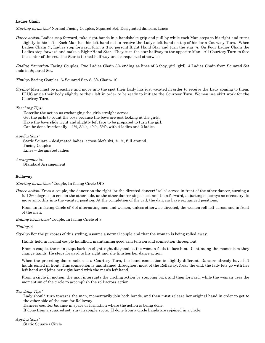## Ladies Chain

Starting formation: Normal Facing Couples, Squared Set, Designated dancers, Lines

Dance action: Ladies step forward, take right hands in a handshake grip and pull by while each Man steps to his right and turns slightly to his left. Each Man has his left hand out to receive the Lady's left hand on top of his for a Courtesy Turn. When Ladies Chain  $\frac{3}{4}$ , Ladies step forward, form a (two person) Right Hand Star and turn the star  $\frac{3}{4}$ . On Four Ladies Chain the Ladies step forward and make a Right-Hand Star. They turn the star halfway to the opposite Man. All Courtesy Turn to face the center of the set. The Star is turned half way unless requested otherwise.

Ending formation: Facing Couples, Two Ladies Chain 3/4 ending as lines of 3 (boy, girl, girl), 4 Ladies Chain from Squared Set ends in Squared Set.

Timing: Facing Couples: 6; Squared Set: 8; 3/4 Chain: 10

Styling: Men must be proactive and move into the spot their Lady has just vacated in order to receive the Lady coming to them, PLUS angle their body slightly to their left in order to be ready to initiate the Courtesy Turn. Women use skirt work for the Courtesy Turn.

Teaching Tips:

Describe the action as exchanging the girls straight across. Get the girls to count the boys because the boys are just looking at the girls. Have the boys slide right and slightly left face to be prepared to turn the girl. Can be done fractionally  $-1/4$ ,  $3/4$ 's,  $4/4$ 's,  $5/4$ 's with 4 ladies and 2 ladies.

## Applications:

 Static Square – designated ladies, across (default), ¾, ¼, full around. Facing Couples Lines – designated ladies

Arrangements: Standard Arrangement

## **Rollaway**

Starting formations: Couple, In facing Circle Of 8

Dance action: From a couple, the dancer on the right (or the directed dancer) "rolls" across in front of the other dancer, turning a full 360 degrees to end on the other side, as the other dancer steps back and then forward, adjusting sideways as necessary, to move smoothly into the vacated position. At the completion of the call, the dancers have exchanged positions.

From an In facing Circle of 8 of alternating men and women, unless otherwise directed, the women roll left across and in front of the men.

Ending formations: Couple, In facing Circle of 8

Timing: 4

Styling: For the purposes of this styling, assume a normal couple and that the woman is being rolled away.

Hands held in normal couple handhold maintaining good arm tension and connection throughout.

From a couple, the man steps back on slight right diagonal as the woman folds to face him. Continuing the momentum they change hands. He steps forward to his right and she finishes her dance action.

When the preceding dance action is a Courtesy Turn, the hand connection is slightly different. Dancers already have left hands joined in front. This connection is maintained throughout most of the Rollaway. Near the end, the lady lets go with her left hand and joins her right hand with the man's left hand.

From a circle in motion, the man interrupts the circling action by stepping back and then forward, while the woman uses the momentum of the circle to accomplish the roll-across action.

#### Teaching Tips:

Lady should turn towards the man, momentarily join both hands, and then must release her original hand in order to get to the other side of the man for Rollaway.

Dancers counter balance in space or formation where the action is being done.

If done from a squared set, stay in couple spots. If done from a circle hands are rejoined in a circle.

#### Applications:

Static Square / Circle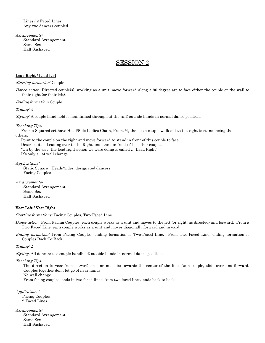Lines / 2 Faced Lines Any two dancers coupled

Arrangements: Standard Arrangement Same Sex Half Sashayed

# SESSION 2

# Lead Right / Lead Left

Starting formation: Couple

Dance action: Directed couple(s), working as a unit, move forward along a 90 degree arc to face either the couple or the wall to their right (or their left).

Ending formation: Couple

Timing: 4

Styling: A couple hand hold is maintained throughout the call; outside hands in normal dance position.

#### Teaching Tips:

 From a Squared set have Head/Side Ladies Chain, Prom. ½, then as a couple walk out to the right to stand facing the others.

 Point to the couple on the right and move forward to stand in front of this couple to face. Describe it as Leading over to the Right and stand in front of the other couple. "Oh by the way, the lead right action we were doing is called … Lead Right" It's only a 1/4 wall change.

Applications:

Static Square - Heads/Sides, designated dancers Facing Couples

Arrangements:

Standard Arrangement Same Sex Half Sashayed

#### Veer Left / Veer Right

Starting formations: Facing Couples, Two-Faced Line

*Dance action:* From Facing Couples, each couple works as a unit and moves to the left (or right, as directed) and forward. From a Two-Faced Line, each couple works as a unit and moves diagonally forward and inward.

Ending formation: From Facing Couples, ending formation is Two-Faced Line. From Two-Faced Line, ending formation is Couples Back-To-Back.

Timing: 2

Styling: All dancers use couple handhold; outside hands in normal dance position.

Teaching Tips:

The direction to veer from a two-faced line must be towards the center of the line. As a couple, slide over and forward. Couples together don't let go of near hands.

No wall change.

From facing couples, ends in two faced lines; from two faced lines, ends back to back.

Applications: Facing Couples 2 Faced Lines

Arrangements: Standard Arrangement Same Sex Half Sashayed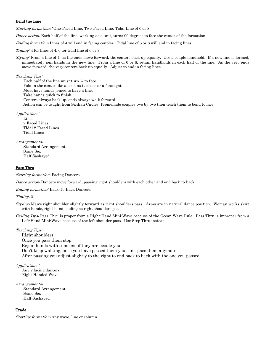## Bend the Line

Starting formations: One-Faced Line, Two-Faced Line, Tidal Line of 6 or 8

Dance action: Each half of the line, working as a unit, turns 90 degrees to face the center of the formation.

Ending formation: Lines of 4 will end in facing couples. Tidal line of 6 or 8 will end in facing lines.

Timing: 4 for lines of 4, 6 for tidal line of 6 or 8

Styling: From a line of 4, as the ends move forward, the centers back up equally. Use a couple handhold. If a new line is formed, immediately join hands in the new line. From a line of 6 or 8, retain handholds in each half of the line. As the very ends move forward, the very centers back up equally. Adjust to end in facing lines.

## Teaching Tips:

Each half of the line must turn ¼ to face. Fold in the center like a book as it closes or a fence gate. Must have hands joined to have a line. Take hands quick to finish. Centers always back up; ends always walk forward. Action can be taught from Sicilian Circles. Promenade couples two by two then teach them to bend to face.

Applications:

Lines 2 Faced Lines Tidal 2 Faced Lines Tidal Lines

Arrangements: Standard Arrangement Same Sex Half Sashayed

# Pass Thru

Starting formation: Facing Dancers

Dance action: Dancers move forward, passing right shoulders with each other and end back-to-back.

Ending formation: Back-To-Back Dancers

Timing: 2

- Styling: Man's right shoulder slightly forward as right shoulders pass. Arms are in natural dance position. Woman works skirt with hands, right hand leading as right shoulders pass.
- Calling Tips: Pass Thru is proper from a Right-Hand Mini-Wave because of the Ocean Wave Rule. Pass Thru is improper from a Left-Hand Mini-Wave because of the left shoulder pass. Use Step Thru instead.

## Teaching Tips:

Right shoulders!

Once you pass them stop.

Rejoin hands with someone if they are beside you.

Don't keep walking, once you have passed them you can't pass them anymore.

After passing you adjust slightly to the right to end back to back with the one you passed.

Applications:

 Any 2 facing dancers Right Handed Wave

Arrangements: Standard Arrangement Same Sex Half Sashayed

# Trade

Starting formation: Any wave, line or column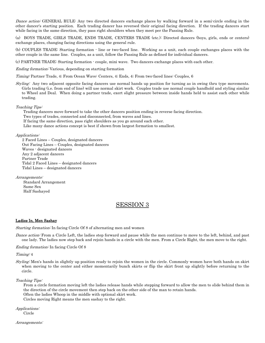Dance action: GENERAL RULE: Any two directed dancers exchange places by walking forward in a semi-circle ending in the other dancer's starting position. Each trading dancer has reversed their original facing direction. If the trading dancers start while facing in the same direction, they pass right shoulders when they meet per the Passing Rule.

(a) BOYS TRADE, GIRLS TRADE, ENDS TRADE, CENTERS TRADE (etc.): Directed dancers (boys, girls, ends or centers) exchange places, changing facing directions using the general rule.

(b) COUPLES TRADE: Starting formation - line or two-faced line. Working as a unit, each couple exchanges places with the other couple in the same line. Couples, as a unit, follow the Passing Rule as defined for individual dancers.

(c) PARTNER TRADE: Starting formation - couple, mini wave. Two dancers exchange places with each other.

Ending formation: Various, depending on starting formation

Timing: Partner Trade, 4; From Ocean Wave: Centers, 4; Ends, 4; From two-faced lines: Couples, 6

Styling: Any two adjacent opposite facing dancers use normal hands up position for turning as in swing thru type movements. Girls trading (i.e. from end of line) will use normal skirt work. Couples trade use normal couple handhold and styling similar to Wheel and Deal. When doing a partner trade, exert slight pressure between inside hands held to assist each other while trading.

#### Teaching Tips:

Trading dancers move forward to take the other dancers position ending in reverse facing direction.

Two types of trades, connected and disconnected, from waves and lines.

If facing the same direction, pass right shoulders as you go around each other.

Like many dance actions concept is best if shown from largest formation to smallest.

#### Applications:

 2 Faced Lines – Couples, designated dancers Out Facing Lines – Couples, designated dancers Waves - designated dancers Any 2 adjacent dancers Partner Trade Tidal 2 Faced Lines – designated dancers Tidal Lines – designated dancers

Arrangements:

Standard Arrangement Same Sex Half Sashayed

# SESSION 3

#### Ladies In, Men Sashay

Starting formation: In facing Circle Of 8 of alternating men and women

Dance action: From a Circle Left, the ladies step forward and pause while the men continue to move to the left, behind, and past one lady. The ladies now step back and rejoin hands in a circle with the men. From a Circle Right, the men move to the right.

Ending formation: In facing Circle Of 8

Timing: 4

Styling: Men's hands in slightly up position ready to rejoin the women in the circle. Commonly women have both hands on skirt when moving to the center and either momentarily bunch skirts or flip the skirt front up slightly before returning to the circle.

Teaching Tips:

From a circle formation moving left the ladies release hands while stepping forward to allow the men to slide behind them in the direction of the circle movement then step back on the other side of the man to retain hands. Often the ladies Whoop in the middle with optional skirt work. Circles moving Right means the men sashay to the right.

Applications: Circle

Arrangements: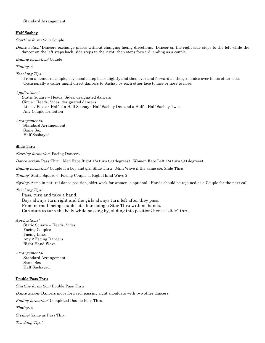#### Half Sashay

Starting formation: Couple

Dance action: Dancers exchange places without changing facing directions. Dancer on the right side steps to the left while the dancer on the left steps back, side steps to the right, then steps forward, ending as a couple.

#### Ending formation: Couple

Timing: 4

#### Teaching Tips:

From a standard couple, boy should step back slightly and then over and forward as the girl slides over to his other side. Occasionally a caller might direct dancers to Sashay by each other face to face or nose to nose.

Applications:

 Static Square – Heads, Sides, designated dancers Circle - Heads, Sides, designated dancers Lines / Boxes - Half of a Half Sashay - Half Sashay One and a Half – Half Sashay Twice Any Couple formation

Arrangements: Standard Arrangement Same Sex Half Sashayed

#### Slide Thru

Starting formation: Facing Dancers

Dance action: Pass Thru. Men Face Right 1/4 turn (90 degrees). Women Face Left 1/4 turn (90 degrees).

Ending formation: Couple if a boy and girl Slide Thru - Mini Wave if the same sex Slide Thru

Timing: Static Square 6, Facing Couple 4, Right Hand Wave 2

Styling: Arms in natural dance position, skirt work for women is optional. Hands should be rejoined as a Couple for the next call.

Teaching Tips:

Pass, turn and take a hand. Boys always turn right and the girls always turn left after they pass. From normal facing couples it's like doing a Star Thru with no hands. Can start to turn the body while passing by, sliding into position; hence "slide" thru.

#### Applications:

Static Square – Heads, Sides Facing Couples Facing Lines Any 2 Facing Dancers Right Hand Wave

#### Arrangements:

Standard Arrangement Same Sex Half Sashayed

#### Double Pass Thru

Starting formation: Double Pass Thru Dance action: Dancers move forward, passing right shoulders with two other dancers. Ending formation: Completed Double Pass Thru. Timing: 4 Styling: Same as Pass Thru. Teaching Tips: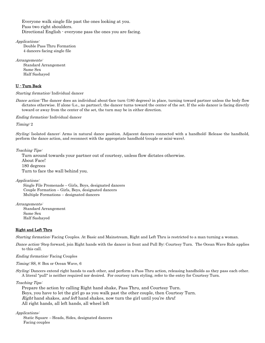Everyone walk single file past the ones looking at you. Pass two right shoulders. Directional English - everyone pass the ones you are facing.

Applications: Double Pass Thru Formation 4 dancers facing single file

Arrangements: Standard Arrangement Same Sex Half Sashayed

# U - Turn Back

## Starting formation: Individual dancer

Dance action: The dancer does an individual about-face turn (180 degrees) in place, turning toward partner unless the body flow dictates otherwise. If alone (i.e., no partner), the dancer turns toward the center of the set. If the solo dancer is facing directly toward or away from the center of the set, the turn may be in either direction.

Ending formation: Individual dancer

Timing: 2

Styling: Isolated dancer: Arms in natural dance position. Adjacent dancers connected with a handhold: Release the handhold, perform the dance action, and reconnect with the appropriate handhold (couple or mini-wave).

Teaching Tips:

Turn around towards your partner out of courtesy, unless flow dictates otherwise. About Face! 180 degrees Turn to face the wall behind you.

Applications:

 Single File Promenade – Girls, Boys, designated dancers Couple Formation – Girls, Boys, designated dancers Multiple Formations – designated dancers

Arrangements:

Standard Arrangement Same Sex Half Sashayed

# Right and Left Thru

Starting formation: Facing Couples. At Basic and Mainstream, Right and Left Thru is restricted to a man turning a woman.

Dance action: Step forward, join Right hands with the dancer in front and Pull By; Courtesy Turn. The Ocean Wave Rule applies to this call.

Ending formation: Facing Couples

#### Timing: SS, 8: Box or Ocean Wave, 6

Styling: Dancers extend right hands to each other, and perform a Pass Thru action, releasing handholds as they pass each other. A literal "pull" is neither required nor desired. For courtesy turn styling, refer to the entry for Courtesy Turn.

Teaching Tips:

Prepare the action by calling Right hand shake, Pass Thru, and Courtesy Turn. Boys, you have to let the girl go as you walk past the other couple, then Courtesy Turn. Right hand shakes, and left hand shakes, now turn the girl until you're thru! All right hands, all left hands, all wheel left

Applications:

Static Square – Heads, Sides, designated dancers Facing couples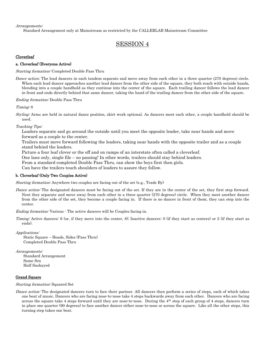Arrangements:

Standard Arrangement only at Mainstream as restricted by the CALLERLAB Mainstream Committee

# SESSION 4

## Cloverleaf

## a. Cloverleaf (Everyone Active)

Starting formation: Completed Double Pass Thru

*Dance action:* The lead dancers in each tandem separate and move away from each other in a three quarter (270 degrees) circle. When each lead dancer approaches another lead dancer from the other side of the square, they both reach with outside hands, blending into a couple handhold as they continue into the center of the square. Each trailing dancer follows the lead dancer in front and ends directly behind that same dancer, taking the hand of the trailing dancer from the other side of the square.

Ending formation: Double Pass Thru

Timing: 8

Styling: Arms are held in natural dance position, skirt work optional. As dancers meet each other, a couple handhold should be used.

Teaching Tips:

Leaders separate and go around the outside until you meet the opposite leader, take near hands and move forward as a couple to the center.

Trailers must move forward following the leaders, taking near hands with the opposite trailer and as a couple stand behind the leaders.

Picture a four leaf clover or the off and on ramps of an interstate often called a cloverleaf.

One lane only, single file – no passing! In other words, trailers should stay behind leaders.

From a standard completed Double Pass Thru, can show the boys first then girls.

Can have the trailers touch shoulders of leaders to assure they follow.

#### b. Cloverleaf (Only Two Couples Active)

Starting formation: Anywhere two couples are facing out of the set (e.g., Trade By)

Dance action: The designated dancers must be facing out of the set. If they are in the center of the set, they first step forward. Next they separate and move away from each other in a three quarter (270 degrees) circle. When they meet another dancer from the other side of the set, they become a couple facing in. If there is no dancer in front of them, they can step into the center.

Ending formation: Various - The active dancers will be Couples facing in.

Timing: Active dancers: 6 (or, if they move into the center, 8); Inactive dancers: 0 (if they start as centers) or 2 (if they start as ends).

Applications:

Static Square – Heads, Sides (Pass Thru) Completed Double Pass Thru

Arrangements:

Standard Arrangement Same Sex Half Sashayed

## Grand Square

Starting formation: Squared Set

Dance action: The designated dancers turn to face their partner. All dancers then perform a series of steps, each of which takes one beat of music. Dancers who are facing nose-to-nose take 4 steps backwards away from each other. Dancers who are facing across the square take 4 steps forward until they are nose-to-nose. During the 4th step of each group of 4 steps, dancers turn in place one quarter (90 degrees) to face another dancer either nose-to-nose or across the square. Like all the other steps, this turning step takes one beat.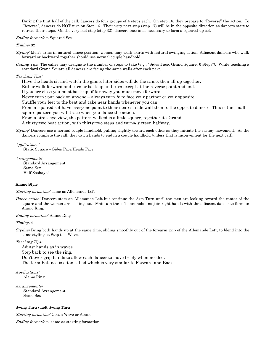During the first half of the call, dancers do four groups of 4 steps each. On step 16, they prepare to "Reverse" the action. To "Reverse", dancers do NOT turn on Step 16. Their very next step (step 17) will be in the opposite direction as dancers start to retrace their steps. On the very last step (step 32), dancers face in as necessary to form a squared-up set.

#### Ending formation: Squared Set

Timing: 32

Styling: Men's arms in natural dance position; women may work skirts with natural swinging action. Adjacent dancers who walk forward or backward together should use normal couple handhold.

Calling Tips: The caller may designate the number of steps to take (e.g., "Sides Face, Grand Square, 6 Steps"). While teaching a standard Grand Square all dancers are facing the same walls after each part.

#### Teaching Tips:

Have the heads sit and watch the game, later sides will do the same, then all up together.

Either walk forward and turn or back up and turn except at the reverse point and end.

If you are close you must back up, if far away you must move forward.

Never turn your back on anyone – always turn *in* to face your partner or your opposite.

Shuffle your feet to the beat and take near hands whenever you can.

From a squared set have everyone point to their nearest side wall then to the opposite dancer. This is the small square pattern you will trace when you dance the action.

From a bird's eye view, the pattern walked is a little square, together it's Grand.

A thirty-two beat action, with thirty-two steps and turns; sixteen halfway.

Styling: Dancers use a normal couple handhold, pulling slightly toward each other as they initiate the sashay movement. As the dancers complete the call, they catch hands to end in a couple handhold (unless that is inconvenient for the next call).

#### Applications:

Static Square – Sides Face/Heads Face

Arrangements:

Standard Arrangement Same Sex Half Sashayed

#### Alamo Style

Starting formation: same as Allemande Left

Dance action: Dancers start an Allemande Left but continue the Arm Turn until the men are looking toward the center of the square and the women are looking out. Maintain the left handhold and join right hands with the adjacent dancer to form an Alamo Ring.

#### Ending formation: Alamo Ring

Timing: 4

Styling: Bring both hands up at the same time, sliding smoothly out of the forearm grip of the Allemande Left, to blend into the same styling as Step to a Wave.

Teaching Tips:

Adjust hands as in waves. Step back to see the ring. Don't over grip hands to allow each dancer to move freely when needed. The term Balance is often called which is very similar to Forward and Back.

Applications:

Alamo Ring

Arrangements: Standard Arrangement Same Sex

## Swing Thru / Left Swing Thru

Starting formation: Ocean Wave or Alamo

Ending formation: same as starting formation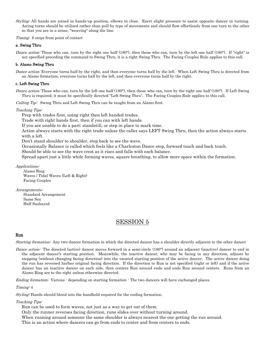Styling: All hands are joined in hands-up position, elbows in close. Exert slight pressure to assist opposite dancer in turning. Arcing turns should be utilized rather than pull by type of movements and should flow effortlessly from one turn to the other so that you are in a sense, "weaving" along the line.

Timing: 6 steps from point of contact

## a. Swing Thru

Dance action: Those who can, turn by the right one half  $(180^{\circ})$ , then those who can, turn by the left one half  $(180^{\circ})$ . If "right" is not specified preceding the command to Swing Thru, it is a right Swing Thru. The Facing Couples Rule applies to this call.

## b. Alamo Swing Thru

Dance action: Everyone turns half by the right, and then everyone turns half by the left. When Left Swing Thru is directed from an Alamo formation, everyone turns half by the left, and then everyone turns half by the right.

#### c. Left Swing Thru

Dance action: Those who can, turn by the left one half (180°), then those who can, turn by the right one half (180°). If Left Swing Thru is required, it must be specifically directed "Left Swing Thru". The Facing Couples Rule applies to this call.

Calling Tip: Swing Thru and Left Swing Thru can be taught from an Alamo first.

## Teaching Tips:

Prep with trades first, using right then left handed trades.

Trade with right hands first, then if you can with left hands.

If you are unable to do a part; standstill, or step in place to mark time.

Action always starts with the right trade unless the caller says LEFT Swing Thru, then the action always starts with a left.

Don't stand shoulder to shoulder, step back to see the wave.

Occasionally Balance is called which feels like a Charleston Dance step, forward touch and back touch.

Should be able to see the wave crest as it rises and falls with each balance.

Spread apart just a little while forming waves, square breathing, to allow more space within the formation.

## Applications:

Alamo Ring Waves / Tidal Waves (Left & Right) Facing Couples

Arrangements:

Standard Arrangement Same Sex Half Sashayed

# SESSION 5

## Run

Starting formation: Any two-dancer formation in which the directed dancer has a shoulder directly adjacent to the other dancer

Dance action: The directed (active) dancer moves forward in a semi-circle (180°) around an adjacent (inactive) dancer to end in the adjacent dancer's starting position. Meanwhile, the inactive dancer, who may be facing in any direction, adjusts by stepping (without changing facing direction) into the vacated starting position of the active dancer. The active dancer doing the run has reversed his/her original facing direction. If the direction to Run is not specified (right or left) and if the active dancer has an inactive dancer on each side, then centers Run around ends and ends Run around centers. Runs from an Alamo Ring are to the right unless otherwise directed.

*Ending formation:* Various - depending on starting formation - The two dancers will have exchanged places.

#### Timing: 4

Styling: Hands should blend into the handhold required for the ending formation.

# Teaching Tips:

Run can be used to form waves, not just as a way to get out of them.

Only the runner reverses facing direction, rune slides over without turning around.

When running around someone the same shoulder is always nearest the one getting the run around.

This is an action where dancers can go from ends to center and from centers to ends.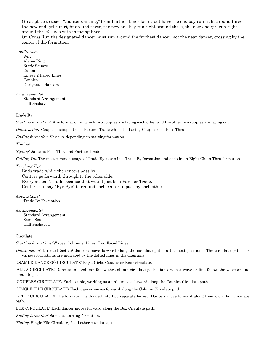Great place to teach "counter dancing," from Partner Lines facing out have the end boy run right around three, the new end girl run right around three, the new end boy run right around three, the new end girl run right around three; ends with in facing lines.

On Cross Run the designated dancer must run around the furthest dancer, not the near dancer, crossing by the center of the formation.

# Applications:

Waves Alamo Ring Static Square Columns Lines / 2 Faced Lines Couples Designated dancers

Arrangements:

Standard Arrangement Half Sashayed

# Trade By

Starting formation: Any formation in which two couples are facing each other and the other two couples are facing out

Dance action: Couples facing out do a Partner Trade while the Facing Couples do a Pass Thru.

Ending formation: Various, depending on starting formation.

Timing: 4

Styling: Same as Pass Thru and Partner Trade.

Calling Tip: The most common usage of Trade By starts in a Trade By formation and ends in an Eight Chain Thru formation.

Teaching Tip:

Ends trade while the centers pass by. Centers go forward, through to the other side. Everyone can't trade because that would just be a Partner Trade. Centers can say "Bye Bye" to remind each center to pass by each other.

Applications:

Trade By Formation

Arrangements:

Standard Arrangement Same Sex Half Sashayed

## **Circulate**

Starting formations: Waves, Columns, Lines, Two-Faced Lines.

Dance action: Directed (active) dancers move forward along the circulate path to the next position. The circulate paths for various formations are indicated by the dotted lines in the diagrams.

(NAMED DANCERS) CIRCULATE: Boys, Girls, Centers or Ends circulate.

ALL 8 CIRCULATE: Dancers in a column follow the column circulate path. Dancers in a wave or line follow the wave or line circulate path.

COUPLES CIRCULATE: Each couple, working as a unit, moves forward along the Couples Circulate path.

SINGLE FILE CIRCULATE: Each dancer moves forward along the Column Circulate path.

SPLIT CIRCULATE: The formation is divided into two separate boxes. Dancers move forward along their own Box Circulate path.

BOX CIRCULATE: Each dancer moves forward along the Box Circulate path.

Ending formation: Same as starting formation.

Timing: Single File Circulate, 2; all other circulates, 4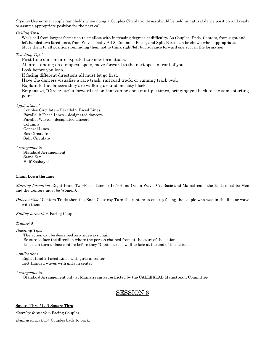Styling: Use normal couple handholds when doing a Couples Circulate. Arms should be held in natural dance position and ready to assume appropriate position for the next call.

#### Calling Tips:

Work call from largest formation to smallest with increasing degrees of difficulty: As Couples, Ends, Centers, from right and left handed two faced lines, from Waves, lastly All 8. Columns, Boxes, and Split Boxes can be shown when appropriate. Move them to all positions reminding them not to think right/left but advance forward one spot in the formation.

#### Teaching Tips:

First time dancers are expected to know formations.

All are standing on a magical spots, move forward to the next spot in front of you.

Look before you leap.

If facing different directions all must let go first.

Have the dancers visualize a race track, rail road track, or running track oval.

Explain to the dancers they are walking around one city block.

Emphasize, "Circle-late" a forward action that can be done multiple times, bringing you back to the same starting point.

#### Applications:

Couples Circulate – Parallel 2 Faced Lines Parallel 2 Faced Lines – designated dancers Parallel Waves – designated dancers Columns General Lines Box Circulate Split Circulate

Arrangements:

Standard Arrangement Same Sex Half Sashayed

# Chain Down the Line

Starting formation: Right-Hand Two-Faced Line or Left-Hand Ocean Wave. (At Basic and Mainstream, the Ends must be Men and the Centers must be Women).

Dance action: Centers Trade then the Ends Courtesy Turn the centers to end up facing the couple who was in the line or wave with them.

Ending formation: Facing Couples

Timing: 8

## *Teaching Tips:*

The action can be described as a sideways chain Be sure to face the direction where the person chained from at the start of the action. Ends can turn to face centers before they "Chain" to see wall to face at the end of the action.

Applications:

 Right Hand 2 Faced Lines with girls in center Left Handed waves with girls in center

Arrangements:

Standard Arrangement only at Mainstream as restricted by the CALLERLAB Mainstream Committee

# SESSION 6

## Square Thru / Left Square Thru

Starting formation: Facing Couples. Ending formation: Couples back-to-back.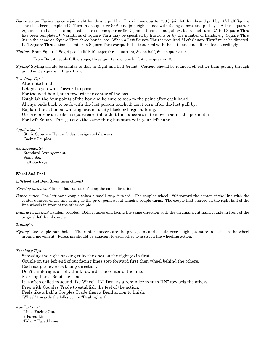Dance action: Facing dancers join right hands and pull by. Turn in one quarter (90°), join left hands and pull by. (A half Square Thru has been completed.) Turn in one quarter (90°) and join right hands with facing dancer and pull by. (A three quarter Square Thru has been completed.) Turn in one quarter (90°), join left hands and pull by, but do not turn. (A full Square Thru has been completed.) Variations of Square Thru may be specified by fractions or by the number of hands, e.g. Square Thru 3/4 is the same as Square Thru three hands, etc. When a Left Square Thru is required, "Left Square Thru" must be directed. Left Square Thru action is similar to Square Thru except that it is started with the left hand and alternated accordingly.

Timing: From Squared Set, 4 people full: 10 steps; three quarters, 8; one half, 6; one quarter, 4

From Box: 4 people full: 8 steps; three quarters, 6; one half, 4; one quarter, 2.

Styling: Styling should be similar to that in Right and Left Grand. Corners should be rounded off rather than pulling through and doing a square military turn.

Teaching Tips:

Alternate hands.

Let go as you walk forward to pass.

For the next hand, turn towards the center of the box.

Establish the four points of the box and be sure to step to the point after each hand.

Always ends back to back with the last person touched; don't turn after the last pull-by.

Explain the action as walking around a city block or large building.

Use a chair or describe a square card table that the dancers are to move around the perimeter.

For Left Square Thru, just do the same thing but start with your left hand.

Applications:

Static Square – Heads, Sides, designated dancers Facing Couples

Arrangements: Standard Arrangement Same Sex Half Sashayed

#### Wheel And Deal

## a. Wheel and Deal (from lines of four)

Starting formation: line of four dancers facing the same direction.

- Dance action: The left-hand couple takes a small step forward. The couples wheel 180° toward the center of the line with the center dancers of the line acting as the pivot point about which a couple turns. The couple that started on the right half of the line wheels in front of the other couple.
- Ending formation: Tandem couples. Both couples end facing the same direction with the original right hand couple in front of the original left hand couple.

#### Timing: 4

Styling: Use couple handholds. The center dancers are the pivot point and should exert slight pressure to assist in the wheel around movement. Forearms should be adjacent to each other to assist in the wheeling action.

Teaching Tips:

Stressing the right passing rule; the ones on the right go in first.

Couple on the left end of out facing lines step forward first then wheel behind the others.

Each couple reverses facing direction.

Don't think right or left, think towards the center of the line.

Starting like a Bend the Line.

It is often called to sound like Wheel "IN" Deal as a reminder to turn "IN" towards the others.

Prep with Couples Trade to establish the feel of the action.

Feels like a half a Couples Trade then a Bend action to finish.

"Wheel" towards the folks you're "Dealing" with.

Applications:

Lines Facing Out 2 Faced Lines Tidal 2 Faced Lines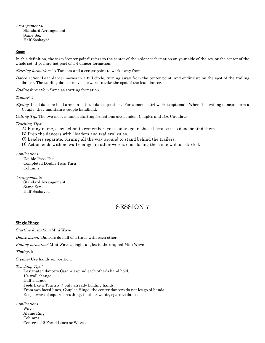Arrangements:

Standard Arrangement Same Sex Half Sashayed

## Zoom

In this definition, the term "center point" refers to the center of the 4-dancer formation on your side of the set, or the center of the whole set, if you are not part of a 4-dancer formation.

Starting formations: A Tandem and a center point to work away from

Dance action: Lead dancer moves in a full circle, turning away from the center point, and ending up on the spot of the trailing dancer. The trailing dancer moves forward to take the spot of the lead dancer.

Ending formation: Same as starting formation

Timing: 4

Styling: Lead dancers hold arms in natural dance position. For women, skirt work is optional. When the trailing dancers form a Couple, they maintain a couple handhold.

*Calling Tip:* The two most common starting formations are Tandem Couples and Box Circulate

*Teaching Tips:* 

- A) Funny name, easy action to remember, yet leaders go in shock because it is done behind them.
- B) Prep the dancers with "leaders and trailers" rules.
- C) Leaders separate, turning all the way around to stand behind the trailers.
- D) Action ends with no wall change; in other words, ends facing the same wall as started.

Applications:

Double Pass Thru Completed Double Pass Thru Columns

Arrangements:

Standard Arrangement Same Sex Half Sashayed

# SESSION 7

#### Single Hinge

Starting formation: Mini Wave

Dance action: Dancers do half of a trade with each other.

Ending formation: Mini Wave at right angles to the original Mini Wave

Timing: 2

Styling: Use hands up position.

Teaching Tips:

Designated dancers Cast ¼ around each other's hand hold. 1/4 wall change Half a Trade Feels like a Touch a ¼ only already holding hands. From two faced lines, Couples Hinge, the center dancers do not let go of hands. Keep aware of square breathing, in other words, space to dance.

Applications:

Waves Alamo Ring Columns Centers of 2 Faced Lines or Waves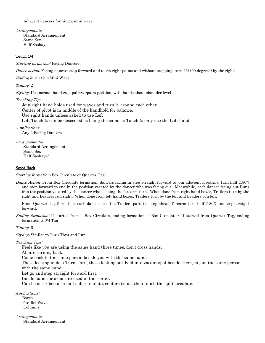Adjacent dancers forming a mini wave

Arrangements: Standard Arrangement Same Sex Half Sashayed

## Touch 1/4

Starting formation: Facing Dancers.

Dance action: Facing dancers step forward and touch right palms and without stopping, turn 1/4 (90 degrees) by the right.

Ending formation: Mini-Wave

Timing: 2

Styling: Use normal hands-up, palm-to-palm position, with hands about shoulder level.

Teaching Tips:

Join right hand holds used for waves and turn ¼ around each other. Center of pivot is in middle of the handhold for balance. Use right hands unless asked to use Left Left Touch  $\frac{1}{4}$  can be described as being the same as Touch  $\frac{1}{4}$  only use the Left hand.

Applications:

Any 2 Facing Dancers

Arrangements: Standard Arrangement Same Sex Half Sashayed

## Scoot Back

Starting formation: Box Circulate or Quarter Tag

Dance Action: From Box Circulate formation, dancers facing in step straight forward to join adjacent forearms, turn half (180°) and step forward to end in the position vacated by the dancer who was facing out. Meanwhile, each dancer facing out Runs into the position vacated by the dancer who is doing the forearm turn. When done from right hand boxes, Trailers turn by the right and Leaders run right. When done from left hand boxes, Trailers turn by the left and Leaders run left.

From Quarter Tag formation, each dancer does the Trailers part, i.e. step ahead, forearm turn half (180°) and step straight forward.

Ending formation: If started from a Box Circulate, ending formation is Box Circulate - If started from Quarter Tag, ending formation is 3/4 Tag

Timing: 6

Styling: Similar to Turn Thru and Run

Teaching Tips:

Feels like you are using the same hand three times, don't cross hands.

All are turning back.

Come back to the same person beside you with the same hand.

Those looking in do a Turn Thru, those looking out Fold into vacant spot beside them, to join the same person with the same hand.

Let go and step straight forward first.

Inside hands or arms are used in the center.

Can be described as a half split circulate, centers trade, then finish the split circulate.

Applications: Boxes Parallel Waves Columns

Arrangements: Standard Arrangement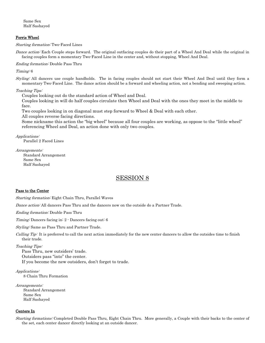Same Sex Half Sashayed

## Ferris Wheel

Starting formation: Two-Faced Lines

Dance action: Each Couple steps forward. The original outfacing couples do their part of a Wheel And Deal while the original in facing couples form a momentary Two-Faced Line in the center and, without stopping, Wheel And Deal.

Ending formation: Double Pass Thru

Timing: 6

Styling: All dancers use couple handholds. The in facing couples should not start their Wheel And Deal until they form a momentary Two-Faced Line. The dance action should be a forward and wheeling action, not a bending and sweeping action.

#### Teaching Tips:

Couples looking out do the standard action of Wheel and Deal.

Couples looking in will do half couples circulate then Wheel and Deal with the ones they meet in the middle to face.

Two couples looking in on diagonal must step forward to Wheel & Deal with each other.

All couples reverse facing directions.

Some nickname this action the "big wheel" because all four couples are working, as oppose to the "little wheel" referencing Wheel and Deal, an action done with only two couples.

Applications:

Parallel 2 Faced Lines

#### Arrangements:

Standard Arrangement Same Sex Half Sashayed

# SESSION 8

#### Pass to the Center

Starting formation: Eight Chain Thru, Parallel Waves

Dance action: All dancers Pass Thru and the dancers now on the outside do a Partner Trade.

Ending formation: Double Pass Thru

Timing: Dancers facing in: 2 - Dancers facing out: 6

Styling: Same as Pass Thru and Partner Trade.

Calling Tip: It is preferred to call the next action immediately for the new center dancers to allow the outsides time to finish their trade.

#### Teaching Tips:

Pass Thru, new outsiders' trade. Outsiders pass "into" the center. If you become the new outsiders, don't forget to trade.

Applications: 8 Chain Thru Formation

Arrangements: Standard Arrangement Same Sex Half Sashayed

#### Centers In

Starting formations: Completed Double Pass Thru, Eight Chain Thru. More generally, a Couple with their backs to the center of the set, each center dancer directly looking at an outside dancer.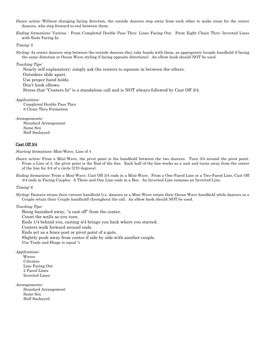- Dance action: Without changing facing direction, the outside dancers step away from each other to make room for the center dancers, who step forward to end between them.
- Ending formations: Various From Completed Double Pass Thru: Lines Facing Out. From Eight Chain Thru: Inverted Lines with Ends Facing In.

Timing: 2

Styling: As center dancers step between the outside dancers they take hands with them, as appropriate (couple handhold if facing the same direction or Ocean Wave styling if facing opposite directions). An elbow hook should NOT be used.

Teaching Tips:

Nearly self explanatory; simply ask the centers to squeeze in between the others.

Outsiders slide apart.

Use proper hand holds.

Don't hook elbows.

Stress that "Centers In" is a standalone call and is NOT always followed by Cast Off 3/4.

Applications:

Completed Double Pass Thru 8 Chain Thru Formation

Arrangements:

Standard Arrangement Same Sex Half Sashayed

## Cast Off 3/4

Starting formations: Mini-Wave, Line of 4

- Dance action: From a Mini-Wave, the pivot point is the handhold between the two dancers. Turn 3/4 around the pivot point. From a Line of 4, the pivot point is the End of the line. Each half of the line works as a unit and turns away from the center of the line for 3/4 of a circle (270 degrees).
- Ending formations: From a Mini-Wave, Cast Off 3/4 ends in a Mini-Wave. From a One-Faced Line or a Two-Faced Line, Cast Off 3/4 ends in Facing Couples. A Three and One Line ends in a Box. An Inverted Line remains an Inverted Line.

Timing: 6

Styling: Dancers retain their current handhold (i.e. dancers in a Mini-Wave retain their Ocean Wave handhold while dancers in a Couple retain their Couple handhold) throughout the call. An elbow hook should NOT be used.

#### Teaching Tips:

Being banished away, "a cast off" from the center. Count the walls as you turn. Ends 1/4 behind you, casting 4/4 brings you back where you started. Centers walk forward around ends. Ends act as a fence post or pivot point of a gate. Slightly push away from center if side by side with another couple. Use Trade and Hinge to equal  $\frac{3}{4}$ 

Applications:

 Waves Columns Line Facing Out 2 Faced Lines Inverted Lines

Arrangements:

Standard Arrangement Same Sex Half Sashayed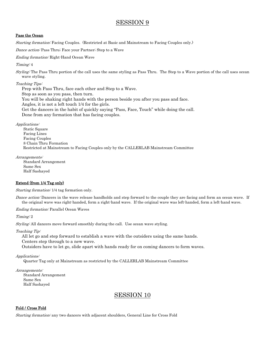# SESSION 9

# Pass the Ocean

Starting formation: Facing Couples. (Restricted at Basic and Mainstream to Facing Couples only.)

Dance action: Pass Thru; Face your Partner; Step to a Wave

Ending formation: Right-Hand Ocean Wave

Timing: 4

Styling: The Pass Thru portion of the call uses the same styling as Pass Thru. The Step to a Wave portion of the call uses ocean wave styling.

Teaching Tips:

Prep with Pass Thru, face each other and Step to a Wave.

Stop as soon as you pass, then turn.

You will be shaking right hands with the person beside you after you pass and face.

Angles, it is not a left touch 1/4 for the girls.

Get the dancers in the habit of quickly saying "Pass, Face, Touch" while doing the call.

Done from any formation that has facing couples.

Applications:

Static Square Facing Lines Facing Couples 8 Chain Thru Formation Restricted at Mainstream to Facing Couples only by the CALLERLAB Mainstream Committee

Arrangements: Standard Arrangement

Same Sex Half Sashayed

Extend (from 1/4 Tag only)

Starting formation: 1/4 tag formation only.

Dance action: Dancers in the wave release handholds and step forward to the couple they are facing and form an ocean wave. If the original wave was right-handed, form a right-hand wave. If the original wave was left-handed, form a left-hand wave.

Ending formation: Parallel Ocean Waves

Timing: 2

Styling: All dancers move forward smoothly during the call. Use ocean wave styling.

Teaching Tip:

All let go and step forward to establish a wave with the outsiders using the same hands.

Centers step through to a new wave.

Outsiders have to let go, slide apart with hands ready for on coming dancers to form waves.

Applications:

Quarter Tag only at Mainstream as restricted by the CALLERLAB Mainstream Committee

Arrangements:

Standard Arrangement Same Sex Half Sashayed

# SESSION 10

## Fold / Cross Fold

*Starting formation:* any two dancers with adjacent shoulders, General Line for Cross Fold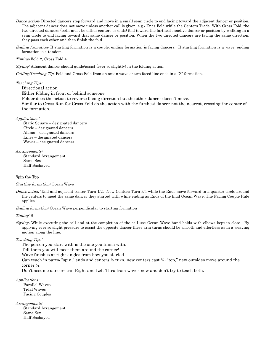- Dance action: Directed dancers step forward and move in a small semi-circle to end facing toward the adjacent dancer or position. The adjacent dancer does not move unless another call is given, e.g.: Ends Fold while the Centers Trade. With Cross Fold, the two directed dancers (both must be either centers or ends) fold toward the farthest inactive dancer or position by walking in a semi-circle to end facing toward that same dancer or position. When the two directed dancers are facing the same direction, they pass each other and then finish the fold.
- Ending formation: If starting formation is a couple, ending formation is facing dancers. If starting formation is a wave, ending formation is a tandem.

Timing: Fold 2, Cross Fold 4

Styling: Adjacent dancer should guide/assist (ever so slightly) in the folding action.

Calling/Teaching Tip: Fold and Cross Fold from an ocean wave or two faced line ends in a "Z" formation.

Teaching Tips:

Directional action Either folding in front or behind someone

Folder does the action to reverse facing direction but the other dancer doesn't move.

Similar to Cross Run for Cross Fold do the action with the furthest dancer not the nearest, crossing the center of the formation.

#### Applications:

Static Square – designated dancers Circle – designated dancers Alamo – designated dancers Lines – designated dancers Waves – designated dancers

#### Arrangements:

Standard Arrangement Same Sex Half Sashayed

## Spin the Top

#### Starting formation: Ocean Wave

Dance action: End and adjacent center Turn 1/2. New Centers Turn 3/4 while the Ends move forward in a quarter circle around the centers to meet the same dancer they started with while ending as Ends of the final Ocean Wave. The Facing Couple Rule applies.

Ending formation: Ocean Wave perpendicular to starting formation

#### Timing: 8

Styling: While executing the call and at the completion of the call use Ocean Wave hand holds with elbows kept in close. By applying ever so slight pressure to assist the opposite dancer these arm turns should be smooth and effortless as in a weaving motion along the line.

#### Teaching Tips:

The person you start with is the one you finish with.

Tell them you will meet them around the corner!

Wave finishes at right angles from how you started.

Can teach in parts; "spin," ends and centers  $\frac{1}{2}$  turn, new centers cast  $\frac{1}{4}$ ; "top," new outsides move around the corner ¼.

Don't assume dancers can Right and Left Thru from waves now and don't try to teach both.

#### Applications:

Parallel Waves Tidal Waves Facing Couples

#### Arrangements:

Standard Arrangement Same Sex Half Sashayed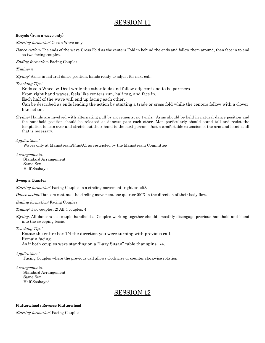# SESSION 11

# Recycle (from a wave only)

Starting formation: Ocean Wave only.

Dance Action: The ends of the wave Cross Fold as the centers Fold in behind the ends and follow them around, then face in to end as two facing couples.

Ending formation: Facing Couples.

Timing: 4

Styling: Arms in natural dance position, hands ready to adjust for next call.

Teaching Tips:

Ends solo Wheel & Deal while the other folds and follow adjacent end to be partners.

From right hand waves, feels like centers run, half tag, and face in.

Each half of the wave will end up facing each other.

Can be described as ends leading the action by starting a trade or cross fold while the centers follow with a clover like action.

Styling: Hands are involved with alternating pull-by movements, no twirls. Arms should be held in natural dance position and the handhold position should be released as dancers pass each other. Men particularly should stand tall and resist the temptation to lean over and stretch out their hand to the next person. Just a comfortable extension of the arm and hand is all that is necessary.

Applications:

Waves only at Mainstream/Plus/A1 as restricted by the Mainstream Committee

Arrangements:

Standard Arrangement Same Sex Half Sashayed

# Sweep a Quarter

Starting formation: Facing Couples in a circling movement (right or left).

Dance action: Dancers continue the circling movement one quarter (90°) in the direction of their body flow.

Ending formation: Facing Couples

Timing: Two couples, 2; All 4 couples, 4

Styling: All dancers use couple handholds. Couples working together should smoothly disengage previous handhold and blend into the sweeping basic.

Teaching Tips:

Rotate the entire box 1/4 the direction you were turning with previous call.

Remain facing.

As if both couples were standing on a "Lazy Susan" table that spins 1/4.

Applications:

Facing Couples where the previous call allows clockwise or counter clockwise rotation

Arrangements: Standard Arrangement

> Same Sex Half Sashayed

# SESSION 12

# Flutterwheel / Reverse Flutterwheel

Starting formation: Facing Couples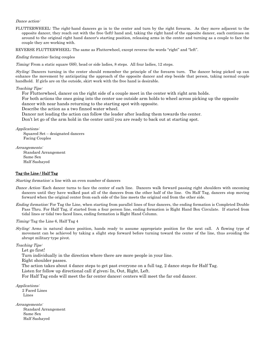## Dance action:

FLUTTERWHEEL: The right-hand dancers go in to the center and turn by the right forearm. As they move adjacent to the opposite dancer, they reach out with the free (left) hand and, taking the right hand of the opposite dancer, each continues on around to the original right hand dancer's starting position, releasing arms in the center and turning as a couple to face the couple they are working with.

REVERSE FLUTTERWHEEL: The same as Flutterwheel, except reverse the words "right" and "left".

#### Ending formation: facing couples

Timing: From a static square (SS), head or side ladies, 8 steps. All four ladies, 12 steps.

Styling: Dancers turning in the center should remember the principle of the forearm turn. The dancer being picked up can enhance the movement by anticipating the approach of the opposite dancer and step beside that person, taking normal couple handhold. If girls are on the outside, skirt work with the free hand is desirable.

#### Teaching Tips:

For Flutterwheel, dancer on the right side of a couple meet in the center with right arm holds.

For both actions the ones going into the center use outside arm holds to wheel across picking up the opposite

dancer with near hands returning to the starting spot with opposite.

Describe the action as a two finned water wheel.

Dancer not leading the action can follow the leader after leading them towards the center.

Don't let go of the arm hold in the center until you are ready to back out at starting spot.

Applications:

Squared Set – designated dancers Facing Couples

Arrangements:

Standard Arrangement Same Sex Half Sashayed

## Tag the Line / Half Tag

Starting formation: a line with an even number of dancers

- Dance Action: Each dancer turns to face the center of each line. Dancers walk forward passing right shoulders with oncoming dancers until they have walked past all of the dancers from the other half of the line. On Half Tag, dancers stop moving forward when the original center from each side of the line meets the original end from the other side.
- Ending formation: For Tag the Line, when starting from parallel lines of four dancers, the ending formation is Completed Double Pass Thru. For Half Tag, if started from a four person line, ending formation is Right Hand Box Circulate. If started from tidal lines or tidal two faced lines, ending formation is Right Hand Column.

Timing: Tag the Line 6, Half Tag 4

Styling: Arms in natural dance position, hands ready to assume appropriate position for the next call. A flowing type of movement can be achieved by taking a slight step forward before turning toward the center of the line, thus avoiding the abrupt military-type pivot.

Teaching Tips:

Let go first!

Turn individually in the direction where there are more people in your line.

Right shoulder passes.

The action takes about 4 dance steps to get past everyone on a full tag, 2 dance steps for Half Tag.

Listen for follow up directional call if given; In, Out, Right, Left.

For Half Tag ends will meet the far center dancer; centers will meet the far end dancer.

Applications:

 2 Faced Lines Lines

Arrangements:

Standard Arrangement Same Sex Half Sashayed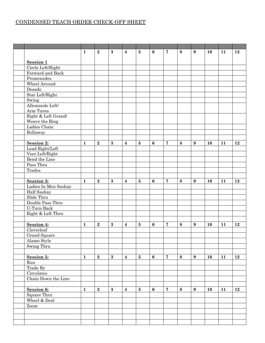# CONDENSED TEACH ORDER CHECK-OFF SHEET

|                              | $\mathbf{1}$ | $\bf{2}$       | $\bf{3}$ | $\overline{\mathbf{4}}$ | $\bf{5}$                | $6\phantom{1}6$ | $\overline{7}$ | 8       | 9                | <b>10</b> | 11 | 12 |
|------------------------------|--------------|----------------|----------|-------------------------|-------------------------|-----------------|----------------|---------|------------------|-----------|----|----|
|                              |              |                |          |                         |                         |                 |                |         |                  |           |    |    |
| <b>Session 1</b>             |              |                |          |                         |                         |                 |                |         |                  |           |    |    |
| Circle Left/Right            |              |                |          |                         |                         |                 |                |         |                  |           |    |    |
| Forward and Back             |              |                |          |                         |                         |                 |                |         |                  |           |    |    |
| Promenades                   |              |                |          |                         |                         |                 |                |         |                  |           |    |    |
| Wheel Around                 |              |                |          |                         |                         |                 |                |         |                  |           |    |    |
| Dosado                       |              |                |          |                         |                         |                 |                |         |                  |           |    |    |
| Star Left/Right              |              |                |          |                         |                         |                 |                |         |                  |           |    |    |
| Swing                        |              |                |          |                         |                         |                 |                |         |                  |           |    |    |
| Allemande Left/              |              |                |          |                         |                         |                 |                |         |                  |           |    |    |
| Arm Turns                    |              |                |          |                         |                         |                 |                |         |                  |           |    |    |
| Right $\&$ Left Grand/       |              |                |          |                         |                         |                 |                |         |                  |           |    |    |
| Weave the Ring               |              |                |          |                         |                         |                 |                |         |                  |           |    |    |
| Ladies Chain                 |              |                |          |                         |                         |                 |                |         |                  |           |    |    |
| Rollaway                     |              |                |          |                         |                         |                 |                |         |                  |           |    |    |
|                              |              |                |          |                         |                         |                 |                |         |                  |           |    |    |
| Session 2:                   | $\mathbf{1}$ | $\overline{2}$ | $\bf{3}$ | $\overline{\mathbf{4}}$ | $\bf{5}$                | $6\phantom{1}$  | $\overline{7}$ | 8       | $\boldsymbol{9}$ | 10        | 11 | 12 |
| Lead Right/Left              |              |                |          |                         |                         |                 |                |         |                  |           |    |    |
| Veer Left/Right              |              |                |          |                         |                         |                 |                |         |                  |           |    |    |
| Bend the Line                |              |                |          |                         |                         |                 |                |         |                  |           |    |    |
| Pass Thru                    |              |                |          |                         |                         |                 |                |         |                  |           |    |    |
| Trades                       |              |                |          |                         |                         |                 |                |         |                  |           |    |    |
|                              |              |                |          |                         |                         |                 |                |         |                  |           |    |    |
| Session 3:                   | $\mathbf{1}$ | $\overline{2}$ | $\bf{3}$ | $\boldsymbol{4}$        | $\overline{\mathbf{5}}$ | $6\phantom{1}$  | $\overline{7}$ | 8       | $\boldsymbol{9}$ | 10        | 11 | 12 |
| Ladies In Men Sashay         |              |                |          |                         |                         |                 |                |         |                  |           |    |    |
| Half Sashay                  |              |                |          |                         |                         |                 |                |         |                  |           |    |    |
| Slide Thru                   |              |                |          |                         |                         |                 |                |         |                  |           |    |    |
| Double Pass Thru             |              |                |          |                         |                         |                 |                |         |                  |           |    |    |
| $\operatorname{U-Turn}$ Back |              |                |          |                         |                         |                 |                |         |                  |           |    |    |
| Right & Left Thru            |              |                |          |                         |                         |                 |                |         |                  |           |    |    |
|                              |              |                |          |                         |                         |                 |                |         |                  |           |    |    |
| Session 4:                   | $\mathbf{1}$ | $\bf{2}$       | $\bf{3}$ | 4                       | $\bf{5}$                | 6               | $\overline{7}$ | $\bf 8$ | $\boldsymbol{9}$ | 10        | 11 | 12 |
| Cloverleaf                   |              |                |          |                         |                         |                 |                |         |                  |           |    |    |
| Grand Square                 |              |                |          |                         |                         |                 |                |         |                  |           |    |    |
| Alamo Style                  |              |                |          |                         |                         |                 |                |         |                  |           |    |    |
| Swing Thru                   |              |                |          |                         |                         |                 |                |         |                  |           |    |    |
|                              |              |                |          |                         |                         |                 |                |         |                  |           |    |    |
| Session 5:                   | $\mathbf{1}$ | $\bf 2$        | $\bf{3}$ | $\boldsymbol{4}$        | $\bf 5$                 | $6\phantom{a}$  | $\overline{7}$ | 8       | 9                | 10        | 11 | 12 |
| Run                          |              |                |          |                         |                         |                 |                |         |                  |           |    |    |
| Trade By                     |              |                |          |                         |                         |                 |                |         |                  |           |    |    |
| Circulates                   |              |                |          |                         |                         |                 |                |         |                  |           |    |    |
| Chain Down the Line          |              |                |          |                         |                         |                 |                |         |                  |           |    |    |
|                              |              |                |          |                         |                         |                 |                |         |                  |           |    |    |
| Session 6:                   | $\mathbf{1}$ | $\bf 2$        | $\bf{3}$ | $\boldsymbol{4}$        | $\bf 5$                 | $6\phantom{1}$  | $\overline{7}$ | $\bf 8$ | $\boldsymbol{9}$ | 10        | 11 | 12 |
| Square Thru                  |              |                |          |                         |                         |                 |                |         |                  |           |    |    |
| Wheel $\&$ Deal              |              |                |          |                         |                         |                 |                |         |                  |           |    |    |
| Zoom                         |              |                |          |                         |                         |                 |                |         |                  |           |    |    |
|                              |              |                |          |                         |                         |                 |                |         |                  |           |    |    |
|                              |              |                |          |                         |                         |                 |                |         |                  |           |    |    |
|                              |              |                |          |                         |                         |                 |                |         |                  |           |    |    |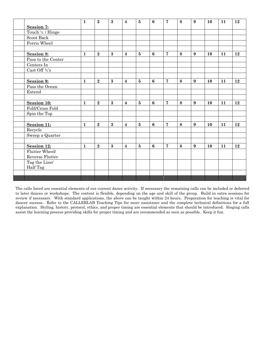|                          | $\mathbf{1}$ | $\mathbf{2}$   | $\bf{3}$ | $\overline{\mathbf{4}}$ | $\overline{5}$          | 6                | $\overline{7}$ | 8 | 9                | 10 | 11 | 12 |
|--------------------------|--------------|----------------|----------|-------------------------|-------------------------|------------------|----------------|---|------------------|----|----|----|
| <b>Session 7:</b>        |              |                |          |                         |                         |                  |                |   |                  |    |    |    |
| Touch 1/4 / Hinge        |              |                |          |                         |                         |                  |                |   |                  |    |    |    |
| Scoot Back               |              |                |          |                         |                         |                  |                |   |                  |    |    |    |
| Ferris Wheel             |              |                |          |                         |                         |                  |                |   |                  |    |    |    |
|                          |              |                |          |                         |                         |                  |                |   |                  |    |    |    |
| Session 8:               | $\mathbf{1}$ | $\mathbf{2}$   | $\bf{3}$ | $\overline{\mathbf{4}}$ | $5\phantom{.0}$         | 6                | $\overline{7}$ | 8 | $\boldsymbol{9}$ | 10 | 11 | 12 |
| Pass to the Center       |              |                |          |                         |                         |                  |                |   |                  |    |    |    |
| Centers In               |              |                |          |                         |                         |                  |                |   |                  |    |    |    |
| Cast Off $\mathcal{U}$ s |              |                |          |                         |                         |                  |                |   |                  |    |    |    |
|                          |              |                |          |                         |                         |                  |                |   |                  |    |    |    |
| Session 9:               | $\mathbf{1}$ | $\overline{2}$ | $\bf{3}$ | $\overline{\mathbf{4}}$ | $\overline{\mathbf{5}}$ | $6\phantom{1}6$  | $\overline{7}$ | 8 | $\boldsymbol{9}$ | 10 | 11 | 12 |
| Pass the Ocean           |              |                |          |                         |                         |                  |                |   |                  |    |    |    |
| Extend                   |              |                |          |                         |                         |                  |                |   |                  |    |    |    |
|                          |              |                |          |                         |                         |                  |                |   |                  |    |    |    |
| Session 10:              | $\mathbf{1}$ | $\overline{2}$ | $\bf{3}$ | $\overline{\mathbf{4}}$ | $\bf{5}$                | $6\phantom{1}6$  | $\overline{7}$ | 8 | $\boldsymbol{9}$ | 10 | 11 | 12 |
| Fold/Cross Fold          |              |                |          |                         |                         |                  |                |   |                  |    |    |    |
| Spin the Top             |              |                |          |                         |                         |                  |                |   |                  |    |    |    |
|                          |              |                |          |                         |                         |                  |                |   |                  |    |    |    |
| <b>Session 11:</b>       | $\mathbf{1}$ | $\overline{2}$ | $\bf{3}$ | $\overline{\mathbf{4}}$ | $\overline{\mathbf{5}}$ | $\boldsymbol{6}$ | $\overline{7}$ | 8 | $\boldsymbol{9}$ | 10 | 11 | 12 |
| Recycle                  |              |                |          |                         |                         |                  |                |   |                  |    |    |    |
| Sweep a Quarter          |              |                |          |                         |                         |                  |                |   |                  |    |    |    |
|                          |              |                |          |                         |                         |                  |                |   |                  |    |    |    |
| Session 12:              | $\mathbf{1}$ | $\overline{2}$ | $\bf{3}$ | $\overline{\mathbf{4}}$ | $5\overline{)}$         | $6\phantom{1}$   | $\overline{7}$ | 8 | $\boldsymbol{9}$ | 10 | 11 | 12 |
| Flutter Wheel/           |              |                |          |                         |                         |                  |                |   |                  |    |    |    |
| Reverse Flutter          |              |                |          |                         |                         |                  |                |   |                  |    |    |    |
| Tag the Line/            |              |                |          |                         |                         |                  |                |   |                  |    |    |    |
| Half Tag                 |              |                |          |                         |                         |                  |                |   |                  |    |    |    |
|                          |              |                |          |                         |                         |                  |                |   |                  |    |    |    |
|                          |              |                |          |                         |                         |                  |                |   |                  |    |    |    |

The calls listed are essential elements of our current dance activity. If necessary the remaining calls can be included or deferred to later dances or workshops. The content is flexible, depending on the age and skill of the group. Build in extra sessions for review if necessary. With standard applications, the above can be taught within 24 hours. Preparation for teaching is vital for dancer success. Refer to the CALLERLAB Teaching Tips for more assistance and the complete technical definitions for a full explanation. Styling, history, protocol, ethics, and proper timing are essential elements that should be introduced. Singing calls assist the learning process providing skills for proper timing and are recommended as soon as possible. Keep it fun.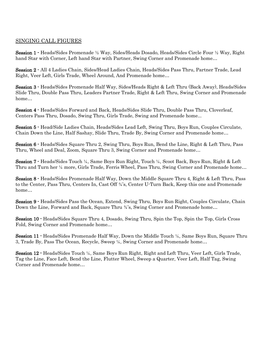# SINGING CALL FIGURES

Session 1 - Heads/Sides Promenade ½ Way, Sides/Heads Dosado, Heads/Sides Circle Four ½ Way, Right hand Star with Corner, Left hand Star with Partner, Swing Corner and Promenade home…

Session 2 - All 4 Ladies Chain, Sides/Head Ladies Chain, Heads/Sides Pass Thru, Partner Trade, Lead Right, Veer Left, Girls Trade, Wheel Around, And Promenade home…

Session 3 - Heads/Sides Promenade Half Way, Sides/Heads Right & Left Thru (Back Away), Heads/Sides Slide Thru, Double Pass Thru, Leaders Partner Trade, Right & Left Thru, Swing Corner and Promenade home…

Session 4 - Heads/Sides Forward and Back, Heads/Sides Slide Thru, Double Pass Thru, Cloverleaf, Centers Pass Thru, Dosado, Swing Thru, Girls Trade, Swing and Promenade home...

Session 5 - Head/Side Ladies Chain, Heads/Sides Lead Left, Swing Thru, Boys Run, Couples Circulate, Chain Down the Line, Half Sashay, Slide Thru, Trade By, Swing Corner and Promenade home…

Session 6 - Heads/Sides Square Thru 2, Swing Thru, Boys Run, Bend the Line, Right & Left Thru, Pass Thru, Wheel and Deal, Zoom, Square Thru 3, Swing Corner and Promenade home…

Session 7 - Heads/Sides Touch ¼, Same Boys Run Right, Touch ¼, Scoot Back, Boys Run, Right & Left Thru and Turn her ¼ more, Girls Trade, Ferris Wheel, Pass Thru, Swing Corner and Promenade home…

Session 8 - Heads/Sides Promenade Half Way, Down the Middle Square Thru 4, Right & Left Thru, Pass to the Center, Pass Thru, Centers In, Cast Off ¾'s, Center U-Turn Back, Keep this one and Promenade home…

Session 9 - Heads/Sides Pass the Ocean, Extend, Swing Thru, Boys Run Right, Couples Circulate, Chain Down the Line, Forward and Back, Square Thru ¾'s, Swing Corner and Promenade home…

Session 10 - Heads/Sides Square Thru 4, Dosado, Swing Thru, Spin the Top, Spin the Top, Girls Cross Fold, Swing Corner and Promenade home…

Session 11 - Heads/Sides Promenade Half Way, Down the Middle Touch  $\frac{1}{4}$ , Same Boys Run, Square Thru 3, Trade By, Pass The Ocean, Recycle, Sweep ¼, Swing Corner and Promenade home…

Session 12 - Heads/Sides Touch ¼, Same Boys Run Right, Right and Left Thru, Veer Left, Girls Trade, Tag the Line, Face Left, Bend the Line, Flutter Wheel, Sweep a Quarter, Veer Left, Half Tag, Swing Corner and Promenade home…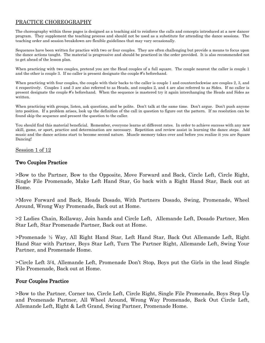# PRACTICE CHOREOGRAPHY

The choreography within these pages is designed as a teaching aid to reinforce the calls and concepts introduced at a new dancer program. They supplement the teaching process and should not be used as a substitute for attending the dance sessions. The teaching order and session breakdown are flexible guidelines that may vary occasionally.

Sequences have been written for practice with two or four couples. They are often challenging but provide a means to focus upon the dance actions taught. The material is progressive and should be practiced in the order provided. It is also recommended not to get ahead of the lesson plan.

When practicing with two couples, pretend you are the Head couples of a full square. The couple nearest the caller is couple 1 and the other is couple 3. If no caller is present designate the couple #'s beforehand.

When practicing with four couples, the couple with their backs to the caller is couple 1 and counterclockwise are couples 2, 3, and 4 respectively. Couples 1 and 3 are also referred to as Heads, and couples 2, and 4 are also referred to as Sides. If no caller is present designate the couple #'s beforehand. When the sequence is mastered try it again interchanging the Heads and Sides as written.

When practicing with groups, listen, ask questions, and be polite. Don't talk at the same time. Don't argue. Don't push anyone into position. If a problem arises, look up the definition of the call in question to figure out the pattern. If no resolution can be found skip the sequence and present the question to the caller.

You should find this material beneficial. Remember, everyone learns at different rates. In order to achieve success with any new skill, game, or sport, practice and determination are necessary. Repetition and review assist in learning the dance steps. Add music and the dance actions start to become second nature. Muscle memory takes over and before you realize it you are Square Dancing!

Session 1 of 12

# Two Couples Practice

>Bow to the Partner, Bow to the Opposite, Move Forward and Back, Circle Left, Circle Right, Single File Promenade, Make Left Hand Star, Go back with a Right Hand Star, Back out at Home.

>Move Forward and Back, Heads Dosado, With Partners Dosado, Swing, Promenade, Wheel Around, Wrong Way Promenade, Back out at Home.

>2 Ladies Chain, Rollaway, Join hands and Circle Left, Allemande Left, Dosado Partner, Men Star Left, Star Promenade Partner, Back out at Home.

>Promenade ½ Way, All Right Hand Star, Left Hand Star, Back Out Allemande Left, Right Hand Star with Partner, Boys Star Left, Turn The Partner Right, Allemande Left, Swing Your Partner, and Promenade Home.

>Circle Left 3/4, Allemande Left, Promenade Don't Stop, Boys put the Girls in the lead Single File Promenade, Back out at Home.

# Four Couples Practice

>Bow to the Partner, Corner too, Circle Left, Circle Right, Single File Promenade, Boys Step Up and Promenade Partner, All Wheel Around, Wrong Way Promenade, Back Out Circle Left, Allemande Left, Right & Left Grand, Swing Partner, Promenade Home.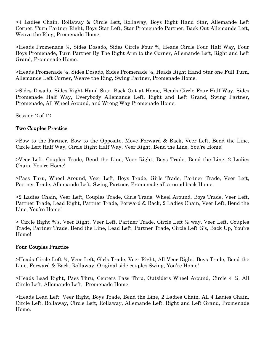>4 Ladies Chain, Rollaway & Circle Left, Rollaway, Boys Right Hand Star, Allemande Left Corner, Turn Partner Right, Boys Star Left, Star Promenade Partner, Back Out Allemande Left, Weave the Ring, Promenade Home.

>Heads Promenade ¾, Sides Dosado, Sides Circle Four ¾, Heads Circle Four Half Way, Four Boys Promenade, Turn Partner By The Right Arm to the Corner, Allemande Left, Right and Left Grand, Promenade Home.

>Heads Promenade ½, Sides Dosado, Sides Promenade ½, Heads Right Hand Star one Full Turn, Allemande Left Corner, Weave the Ring, Swing Partner, Promenade Home.

>Sides Dosado, Sides Right Hand Star, Back Out at Home, Heads Circle Four Half Way, Sides Promenade Half Way, Everybody Allemande Left, Right and Left Grand, Swing Partner, Promenade, All Wheel Around, and Wrong Way Promenade Home.

Session 2 of 12

# Two Couples Practice

>Bow to the Partner, Bow to the Opposite, Move Forward & Back, Veer Left, Bend the Line, Circle Left Half Way, Circle Right Half Way, Veer Right, Bend the Line, You're Home!

>Veer Left, Couples Trade, Bend the Line, Veer Right, Boys Trade, Bend the Line, 2 Ladies Chain, You're Home!

>Pass Thru, Wheel Around, Veer Left, Boys Trade, Girls Trade, Partner Trade, Veer Left, Partner Trade, Allemande Left, Swing Partner, Promenade all around back Home.

>2 Ladies Chain, Veer Left, Couples Trade, Girls Trade, Wheel Around, Boys Trade, Veer Left, Partner Trade, Lead Right, Partner Trade, Forward & Back, 2 Ladies Chain, Veer Left, Bend the Line, You're Home!

> Circle Right ¾'s, Veer Right, Veer Left, Partner Trade, Circle Left ½ way, Veer Left, Couples Trade, Partner Trade, Bend the Line, Lead Left, Partner Trade, Circle Left ¾'s, Back Up, You're Home!

# Four Couples Practice

>Heads Circle Left ¾, Veer Left, Girls Trade, Veer Right, All Veer Right, Boys Trade, Bend the Line, Forward & Back, Rollaway, Original side couples Swing, You're Home!

>Heads Lead Right, Pass Thru, Centers Pass Thru, Outsiders Wheel Around, Circle 4 ¾, All Circle Left, Allemande Left, Promenade Home.

>Heads Lead Left, Veer Right, Boys Trade, Bend the Line, 2 Ladies Chain, All 4 Ladies Chain, Circle Left, Rollaway, Circle Left, Rollaway, Allemande Left, Right and Left Grand, Promenade Home.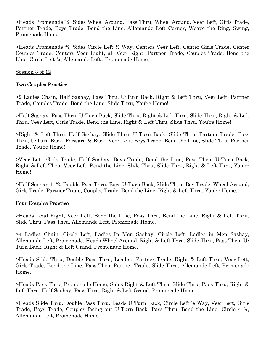>Heads Promenade ¼, Sides Wheel Around, Pass Thru, Wheel Around, Veer Left, Girls Trade, Partner Trade, Boys Trade, Bend the Line, Allemande Left Corner, Weave the Ring, Swing, Promenade Home.

>Heads Promenade ¾, Sides Circle Left ½ Way, Centers Veer Left, Center Girls Trade, Center Couples Trade, Centers Veer Right, all Veer Right, Partner Trade, Couples Trade, Bend the Line, Circle Left ¾, Allemande Left., Promenade Home.

Session 3 of 12

# Two Couples Practice

>2 Ladies Chain, Half Sashay, Pass Thru, U-Turn Back, Right & Left Thru, Veer Left, Partner Trade, Couples Trade, Bend the Line, Slide Thru, You're Home!

>Half Sashay, Pass Thru, U-Turn Back, Slide Thru, Right & Left Thru, Slide Thru, Right & Left Thru, Veer Left, Girls Trade, Bend the Line, Right & Left Thru, Slide Thru, You're Home!

>Right & Left Thru, Half Sashay, Slide Thru, U-Turn Back, Slide Thru, Partner Trade, Pass Thru, U-Turn Back, Forward & Back, Veer Left, Boys Trade, Bend the Line, Slide Thru, Partner Trade, You're Home!

>Veer Left, Girls Trade, Half Sashay, Boys Trade, Bend the Line, Pass Thru, U-Turn Back, Right & Left Thru, Veer Left, Bend the Line, Slide Thru, Slide Thru, Right & Left Thru, You're Home!

>Half Sashay 11/2, Double Pass Thru, Boys U-Turn Back, Slide Thru, Boy Trade, Wheel Around, Girls Trade, Partner Trade, Couples Trade, Bend the Line, Right & Left Thru, You're Home.

# Four Couples Practice

>Heads Lead Right, Veer Left, Bend the Line, Pass Thru, Bend the Line, Right & Left Thru, Slide Thru, Pass Thru, Allemande Left, Promenade Home.

>4 Ladies Chain, Circle Left, Ladies In Men Sashay, Circle Left, Ladies in Men Sashay, Allemande Left, Promenade, Heads Wheel Around, Right & Left Thru, Slide Thru, Pass Thru, U-Turn Back, Right & Left Grand, Promenade Home.

>Heads Slide Thru, Double Pass Thru, Leaders Partner Trade, Right & Left Thru, Veer Left, Girls Trade, Bend the Line, Pass Thru, Partner Trade, Slide Thru, Allemande Left, Promenade Home.

>Heads Pass Thru, Promenade Home, Sides Right & Left Thru, Slide Thru, Pass Thru, Right & Left Thru, Half Sashay, Pass Thru, Right & Left Grand, Promenade Home.

>Heads Slide Thru, Double Pass Thru, Leads U-Turn Back, Circle Left ½ Way, Veer Left, Girls Trade, Boys Trade, Couples facing out U-Turn Back, Pass Thru, Bend the Line, Circle 4 ¾, Allemande Left, Promenade Home.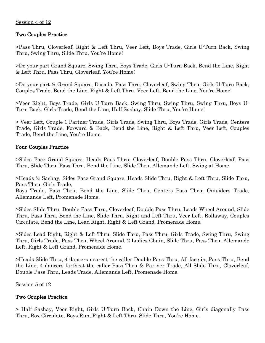# Session 4 of 12

# Two Couples Practice

>Pass Thru, Cloverleaf, Right & Left Thru, Veer Left, Boys Trade, Girls U-Turn Back, Swing Thru, Swing Thru, Slide Thru, You're Home!

>Do your part Grand Square, Swing Thru, Boys Trade, Girls U-Turn Back, Bend the Line, Right & Left Thru, Pass Thru, Cloverleaf, You're Home!

>Do your part ½ Grand Square, Dosado, Pass Thru, Cloverleaf, Swing Thru, Girls U-Turn Back, Couples Trade, Bend the Line, Right & Left Thru, Veer Left, Bend the Line, You're Home!

>Veer Right, Boys Trade, Girls U-Turn Back, Swing Thru, Swing Thru, Swing Thru, Boys U-Turn Back, Girls Trade, Bend the Line, Half Sashay, Slide Thru, You're Home!

> Veer Left, Couple 1 Partner Trade, Girls Trade, Swing Thru, Boys Trade, Girls Trade, Centers Trade, Girls Trade, Forward & Back, Bend the Line, Right & Left Thru, Veer Left, Couples Trade, Bend the Line, You're Home.

# Four Couples Practice

>Sides Face Grand Square, Heads Pass Thru, Cloverleaf, Double Pass Thru, Cloverleaf, Pass Thru, Slide Thru, Pass Thru, Bend the Line, Slide Thru, Allemande Left, Swing at Home.

>Heads ½ Sashay, Sides Face Grand Square, Heads Slide Thru, Right & Left Thru, Slide Thru, Pass Thru, Girls Trade,

Boys Trade, Pass Thru, Bend the Line, Slide Thru, Centers Pass Thru, Outsiders Trade, Allemande Left, Promenade Home.

>Sides Slide Thru, Double Pass Thru, Cloverleaf, Double Pass Thru, Leads Wheel Around, Slide Thru, Pass Thru, Bend the Line, Slide Thru, Right and Left Thru, Veer Left, Rollaway, Couples Circulate, Bend the Line, Lead Right, Right & Left Grand, Promenade Home.

>Sides Lead Right, Right & Left Thru, Slide Thru, Pass Thru, Girls Trade, Swing Thru, Swing Thru, Girls Trade, Pass Thru, Wheel Around, 2 Ladies Chain, Slide Thru, Pass Thru, Allemande Left, Right & Left Grand, Promenade Home.

>Heads Slide Thru, 4 dancers nearest the caller Double Pass Thru, All face in, Pass Thru, Bend the Line, 4 dancers farthest the caller Pass Thru & Partner Trade, All Slide Thru, Cloverleaf, Double Pass Thru, Leads Trade, Allemande Left, Promenade Home.

# Session 5 of 12

# Two Couples Practice

> Half Sashay, Veer Right, Girls U-Turn Back, Chain Down the Line, Girls diagonally Pass Thru, Box Circulate, Boys Run, Right & Left Thru, Slide Thru, You're Home.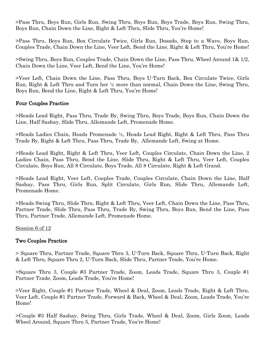>Pass Thru, Boys Run, Girls Run, Swing Thru, Boys Run, Boys Trade, Boys Run, Swing Thru, Boys Run, Chain Down the Line, Right & Left Thru, Slide Thru, You're Home!

>Pass Thru, Boys Run, Box Circulate Twice, Girls Run, Dosado, Step to a Wave, Boys Run, Couples Trade, Chain Down the Line, Veer Left, Bend the Line, Right & Left Thru, You're Home!

>Swing Thru, Boys Run, Couples Trade, Chain Down the Line, Pass Thru, Wheel Around 1& 1/2, Chain Down the Line, Veer Left, Bend the Line, You're Home!

>Veer Left, Chain Down the Line, Pass Thru, Boys U-Turn Back, Box Circulate Twice, Girls Run, Right & Left Thru and Turn her ¼ more than normal, Chain Down the Line, Swing Thru, Boys Run, Bend the Line, Right & Left Thru, You're Home!

# Four Couples Practice

>Heads Lead Right, Pass Thru, Trade By, Swing Thru, Boys Trade, Boys Run, Chain Down the Line, Half Sashay, Slide Thru, Allemande Left, Promenade Home.

>Heads Ladies Chain, Heads Promenade ½, Heads Lead Right, Right & Left Thru, Pass Thru Trade By, Right & Left Thru, Pass Thru, Trade By, Allemande Left, Swing at Home.

>Heads Lead Right, Right & Left Thru, Veer Left, Couples Circulate, Chain Down the Line, 2 Ladies Chain, Pass Thru, Bend the Line, Slide Thru, Right & Left Thru, Veer Left, Couples Circulate, Boys Run, All 8 Circulate, Boys Trade, All 8 Circulate, Right & Left Grand.

>Heads Lead Right, Veer Left, Couples Trade, Couples Circulate, Chain Down the Line, Half Sashay, Pass Thru, Girls Run, Split Circulate, Girls Run, Slide Thru, Allemande Left, Promenade Home.

>Heads Swing Thru, Slide Thru, Right & Left Thru, Veer Left, Chain Down the Line, Pass Thru, Partner Trade, Slide Thru, Pass Thru, Trade By, Swing Thru, Boys Run, Bend the Line, Pass Thru, Partner Trade, Allemande Left, Promenade Home.

# Session 6 of 12

# Two Couples Practice

> Square Thru, Partner Trade, Square Thru 3, U-Turn Back, Square Thru, U-Turn Back, Right & Left Thru, Square Thru 2, U-Turn Back, Slide Thru, Partner Trade, You're Home.

>Square Thru 3, Couple #3 Partner Trade, Zoom, Leads Trade, Square Thru 3, Couple #1 Partner Trade, Zoom, Leads Trade, You're Home!

>Veer Right, Couple #1 Partner Trade, Wheel & Deal, Zoom, Leads Trade, Right & Left Thru, Veer Left, Couple #1 Partner Trade, Forward & Back, Wheel & Deal, Zoom, Leads Trade, You're Home!

>Couple #3 Half Sashay, Swing Thru, Girls Trade, Wheel & Deal, Zoom, Girls Zoom, Leads Wheel Around, Square Thru 5, Partner Trade, You're Home!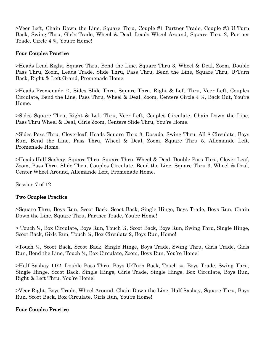>Veer Left, Chain Down the Line, Square Thru, Couple #1 Partner Trade, Couple #3 U-Turn Back, Swing Thru, Girls Trade, Wheel & Deal, Leads Wheel Around, Square Thru 2, Partner Trade, Circle 4 ¾, You're Home!

# Four Couples Practice

>Heads Lead Right, Square Thru, Bend the Line, Square Thru 3, Wheel & Deal, Zoom, Double Pass Thru, Zoom, Leads Trade, Slide Thru, Pass Thru, Bend the Line, Square Thru, U-Turn Back, Right & Left Grand, Promenade Home.

>Heads Promenade ¾, Sides Slide Thru, Square Thru, Right & Left Thru, Veer Left, Couples Circulate, Bend the Line, Pass Thru, Wheel & Deal, Zoom, Centers Circle 4 ¾, Back Out, You're Home.

>Sides Square Thru, Right & Left Thru, Veer Left, Couples Circulate, Chain Down the Line, Pass Thru Wheel & Deal, Girls Zoom, Centers Slide Thru, You're Home.

>Sides Pass Thru, Cloverleaf, Heads Square Thru 3, Dosado, Swing Thru, All 8 Circulate, Boys Run, Bend the Line, Pass Thru, Wheel & Deal, Zoom, Square Thru 5, Allemande Left, Promenade Home.

>Heads Half Sashay, Square Thru, Square Thru, Wheel & Deal, Double Pass Thru, Clover Leaf, Zoom, Pass Thru, Slide Thru, Couples Circulate, Bend the Line, Square Thru 3, Wheel & Deal, Center Wheel Around, Allemande Left, Promenade Home.

Session 7 of 12

# Two Couples Practice

>Square Thru, Boys Run, Scoot Back, Scoot Back, Single Hinge, Boys Trade, Boys Run, Chain Down the Line, Square Thru, Partner Trade, You're Home!

> Touch ¼, Box Circulate, Boys Run, Touch ¼, Scoot Back, Boys Run, Swing Thru, Single Hinge, Scoot Back, Girls Run, Touch ¼, Box Circulate 2, Boys Run, Home!

>Touch ¼, Scoot Back, Scoot Back, Single Hinge, Boys Trade, Swing Thru, Girls Trade, Girls Run, Bend the Line, Touch ¼, Box Circulate, Zoom, Boys Run, You're Home!

>Half Sashay 11/2, Double Pass Thru, Boys U-Turn Back, Touch ¼, Boys Trade, Swing Thru, Single Hinge, Scoot Back, Single Hinge, Girls Trade, Single Hinge, Box Circulate, Boys Run, Right & Left Thru, You're Home!

>Veer Right, Boys Trade, Wheel Around, Chain Down the Line, Half Sashay, Square Thru, Boys Run, Scoot Back, Box Circulate, Girls Run, You're Home!

# Four Couples Practice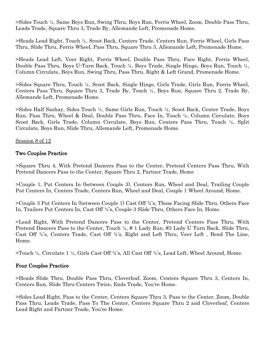>Sides Touch ¼, Same Boys Run, Swing Thru, Boys Run, Ferris Wheel, Zoom, Double Pass Thru, Leads Trade, Square Thru 3, Trade By, Allemande Left, Promenade Home.

>Heads Lead Right, Touch ¼, Scoot Back, Centers Trade, Centers Run, Ferris Wheel, Girls Pass Thru, Slide Thru, Ferris Wheel, Pass Thru, Square Thru 3, Allemande Left, Promenade Home.

>Heads Lead Left, Veer Right, Ferris Wheel, Double Pass Thru, Face Right, Ferris Wheel, Double Pass Thru, Boys U-Turn Back, Touch ¼, Boys Trade, Single Hinge, Boys Run, Touch ¼, Column Circulate, Boys Run, Swing Thru, Pass Thru, Right & Left Grand, Promenade Home.

>Sides Square Thru, Touch ¼, Scoot Back, Single Hinge, Girls Trade, Girls Run, Ferris Wheel, Centers Pass Thru, Square Thru 3, Trade By, Touch ¼, Boys Run, Square Thru 2, Trade By, Allemande Left, Promenade Home.

>Sides Half Sashay, Sides Touch ¼, Same Girls Run, Touch ¼, Scoot Back, Center Trade, Boys Run, Pass Thru, Wheel & Deal, Double Pass Thru, Face In, Touch ¼, Column Circulate, Boys Scoot Back, Girls Trade, Column Circulate, Boys Run, Centers Pass Thru, Touch ¼, Split Circulate, Boys Run, Slide Thru, Allemande Left, Promenade Home.

Session 8 of 12

# Two Couples Practice

>Square Thru 4, With Pretend Dancers Pass to the Center, Pretend Centers Pass Thru, With Pretend Dancers Pass to the Center, Square Thru 2, Partner Trade, Home

>Couple 1, Put Centers In (between Couple 3), Centers Run, Wheel and Deal, Trailing Couple Put Centers In, Centers Trade, Centers Run, Wheel and Deal, Couple 1 Wheel Around, Home.

>Couple 3 Put Centers In (between Couple 1) Cast Off ¾'s, Those Facing Slide Thru, Others Face In, Trailers Put Centers In, Cast Off ¾'s, Couple 3 Slide Thru, Others Face In, Home.

>Lead Right, With Pretend Dancers Pass to the Center, Pretend Centers Pass Thru, With Pretend Dancers Pass to the Center, Touch ¼, # 1 Lady Run, #3 Lady U Turn Back, Slide Thru, Cast Off ¾'s, Centers Trade, Cast Off ¾'s, Right and Left Thru, Veer Left , Bend The Line, Home.

>Touch ¼, Circulate 1 ½, Girls Cast Off ¾'s, All Cast Off ¾'s, Lead Left, Wheel Around, Home.

# Four Couples Practice

>Heads Slide Thru, Double Pass Thru, Cloverleaf, Zoom, Centers Square Thru 3, Centers In, Centers Run, Slide Thru-Centers Twice, Ends Trade, You're Home.

>Sides Lead Right, Pass to the Center, Centers Square Thru 3, Pass to the Center, Zoom, Double Pass Thru, Leads Trade, Pass To The Center, Centers Square Thru 2 and Cloverleaf, Centers Lead Right and Partner Trade, You're Home.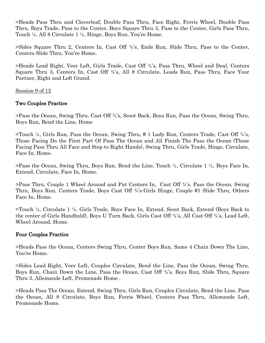>Heads Pass Thru and Cloverleaf, Double Pass Thru, Face Right, Ferris Wheel, Double Pass Thru, Boys Trade, Pass to the Center, Boys Square Thru 3, Pass to the Center, Girls Pass Thru, Touch ¼, All 8 Circulate 1 ½, Hinge, Boys Run, You're Home.

>Sides Square Thru 2, Centers In, Cast Off ¾'s, Ends Run, Slide Thru, Pass to the Center, Centers Slide Thru, You're Home.

>Heads Lead Right, Veer Left, Girls Trade, Cast Off ¾'s, Pass Thru, Wheel and Deal, Centers Square Thru 3, Centers In, Cast Off ¾'s, All 8 Circulate, Leads Run, Pass Thru, Face Your Partner, Right and Left Grand.

Session 9 of 12

# Two Couples Practice

>Pass the Ocean, Swing Thru, Cast Off ¾'s, Scoot Back, Boys Run, Pass the Ocean, Swing Thru, Boys Run, Bend the Line, Home

>Touch ¼, Girls Run, Pass the Ocean, Swing Thru, # 1 Lady Run, Centers Trade, Cast Off ¾'s, Those Facing Do the First Part Of Pass The Ocean and All Finish The Pass the Ocean (Those Facing Pass Thru All Face and Step to Right Hands), Swing Thru, Girls Trade, Hinge, Circulate, Face In, Home.

>Pass the Ocean, Swing Thru, Boys Run, Bend the Line, Touch ¼, Circulate 1 ½, Boys Face In, Extend, Circulate, Face In, Home.

>Pass Thru, Couple 1 Wheel Around and Put Centers In, Cast Off ¾'s, Pass the Ocean, Swing Thru, Boys Run, Centers Trade, Boys Cast Off ¾'s-Girls Hinge, Couple #1 Slide Thru, Others Face In, Home.

>Touch ¼, Circulate 1 ½, Girls Trade, Boys Face In, Extend, Scoot Back, Extend (Boys Back to the center of Girls Handhold), Boys U Turn Back, Girls Cast Off ¾'s, All Cast Off ¾'s, Lead Left, Wheel Around, Home.

# Four Couples Practice

>Heads Pass the Ocean, Centers Swing Thru, Center Boys Run, Same 4 Chain Down The Line, You're Home.

>Sides Lead Right, Veer Left, Couples Circulate, Bend the Line, Pass the Ocean, Swing Thru, Boys Run, Chain Down the Line, Pass the Ocean, Cast Off ¾'s, Boys Run, Slide Thru, Square Thru 3, Allemande Left, Promenade Home .

>Heads Pass The Ocean, Extend, Swing Thru, Girls Run, Couples Circulate, Bend the Line, Pass the Ocean, All 8 Circulate, Boys Run, Ferris Wheel, Centers Pass Thru, Allemande Left, Promenade Home.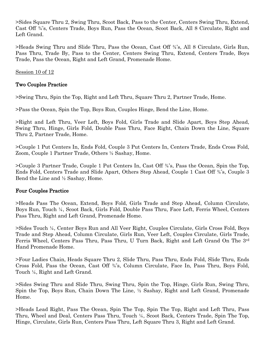>Sides Square Thru 2, Swing Thru, Scoot Back, Pass to the Center, Centers Swing Thru, Extend, Cast Off ¾'s, Centers Trade, Boys Run, Pass the Ocean, Scoot Back, All 8 Circulate, Right and Left Grand.

>Heads Swing Thru and Slide Thru, Pass the Ocean, Cast Off ¾'s, All 8 Circulate, Girls Run, Pass Thru, Trade By, Pass to the Center, Centers Swing Thru, Extend, Centers Trade, Boys Trade, Pass the Ocean, Right and Left Grand, Promenade Home.

Session 10 of 12

# Two Couples Practice

>Swing Thru, Spin the Top, Right and Left Thru, Square Thru 2, Partner Trade, Home.

>Pass the Ocean, Spin the Top, Boys Run, Couples Hinge, Bend the Line, Home.

>Right and Left Thru, Veer Left, Boys Fold, Girls Trade and Slide Apart, Boys Step Ahead, Swing Thru, Hinge, Girls Fold, Double Pass Thru, Face Right, Chain Down the Line, Square Thru 2, Partner Trade, Home.

>Couple 1 Put Centers In, Ends Fold, Couple 3 Put Centers In, Centers Trade, Ends Cross Fold, Zoom, Couple 1 Partner Trade, Others ½ Sashay, Home.

>Couple 3 Partner Trade, Couple 1 Put Centers In, Cast Off ¾'s, Pass the Ocean, Spin the Top, Ends Fold, Centers Trade and Slide Apart, Others Step Ahead, Couple 1 Cast Off ¾'s, Couple 3 Bend the Line and ½ Sashay, Home.

# Four Couples Practice

>Heads Pass The Ocean, Extend, Boys Fold, Girls Trade and Step Ahead, Column Circulate, Boys Run, Touch ¼, Scoot Back, Girls Fold, Double Pass Thru, Face Left, Ferris Wheel, Centers Pass Thru, Right and Left Grand, Promenade Home.

>Sides Touch ¼, Center Boys Run and All Veer Right, Couples Circulate, Girls Cross Fold, Boys Trade and Step Ahead, Column Circulate, Girls Run, Veer Left, Couples Circulate, Girls Trade, Ferris Wheel, Centers Pass Thru, Pass Thru, U Turn Back, Right and Left Grand On The 3rd Hand Promenade Home.

>Four Ladies Chain, Heads Square Thru 2, Slide Thru, Pass Thru, Ends Fold, Slide Thru, Ends Cross Fold, Pass the Ocean, Cast Off ¾'s, Column Circulate, Face In, Pass Thru, Boys Fold, Touch ¼, Right and Left Grand.

>Sides Swing Thru and Slide Thru, Swing Thru, Spin the Top, Hinge, Girls Run, Swing Thru, Spin the Top, Boys Run, Chain Down The Line, ½ Sashay, Right and Left Grand, Promenade Home.

>Heads Lead Right, Pass The Ocean, Spin The Top, Spin The Top, Right and Left Thru, Pass Thru, Wheel and Deal, Centers Pass Thru, Touch ¼, Scoot Back, Centers Trade, Spin The Top, Hinge, Circulate, Girls Run, Centers Pass Thru, Left Square Thru 3, Right and Left Grand.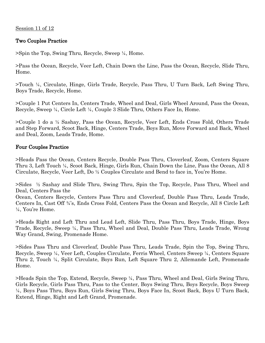# Two Couples Practice

>Spin the Top, Swing Thru, Recycle, Sweep ¼, Home.

>Pass the Ocean, Recycle, Veer Left, Chain Down the Line, Pass the Ocean, Recycle, Slide Thru, Home.

>Touch ¼, Circulate, Hinge, Girls Trade, Recycle, Pass Thru, U Turn Back, Left Swing Thru, Boys Trade, Recycle, Home.

>Couple 1 Put Centers In, Centers Trade, Wheel and Deal, Girls Wheel Around, Pass the Ocean, Recycle, Sweep ¼, Circle Left ¼, Couple 3 Slide Thru, Others Face In, Home.

>Couple 1 do a ½ Sashay, Pass the Ocean, Recycle, Veer Left, Ends Cross Fold, Others Trade and Step Forward, Scoot Back, Hinge, Centers Trade, Boys Run, Move Forward and Back, Wheel and Deal, Zoom, Leads Trade, Home.

# Four Couples Practice

>Heads Pass the Ocean, Centers Recycle, Double Pass Thru, Cloverleaf, Zoom, Centers Square Thru 3, Left Touch ¼, Scoot Back, Hinge, Girls Run, Chain Down the Line, Pass the Ocean, All 8 Circulate, Recycle, Veer Left, Do ½ Couples Circulate and Bend to face in, You're Home.

>Sides ½ Sashay and Slide Thru, Swing Thru, Spin the Top, Recycle, Pass Thru, Wheel and Deal, Centers Pass the

Ocean, Centers Recycle, Centers Pass Thru and Cloverleaf, Double Pass Thru, Leads Trade, Centers In, Cast Off ¾'s, Ends Cross Fold, Centers Pass the Ocean and Recycle, All 8 Circle Left ¼, You're Home.

>Heads Right and Left Thru and Lead Left, Slide Thru, Pass Thru, Boys Trade, Hinge, Boys Trade, Recycle, Sweep ¼, Pass Thru, Wheel and Deal, Double Pass Thru, Leads Trade, Wrong Way Grand, Swing, Promenade Home.

>Sides Pass Thru and Cloverleaf, Double Pass Thru, Leads Trade, Spin the Top, Swing Thru, Recycle, Sweep ¼, Veer Left, Couples Circulate, Ferris Wheel, Centers Sweep ¼, Centers Square Thru 2, Touch ¼, Split Circulate, Boys Run, Left Square Thru 2, Allemande Left, Promenade Home.

>Heads Spin the Top, Extend, Recycle, Sweep ¼, Pass Thru, Wheel and Deal, Girls Swing Thru, Girls Recycle, Girls Pass Thru, Pass to the Center, Boys Swing Thru, Boys Recycle, Boys Sweep ¼, Boys Pass Thru, Boys Run, Girls Swing Thru, Boys Face In, Scoot Back, Boys U Turn Back, Extend, Hinge, Right and Left Grand, Promenade.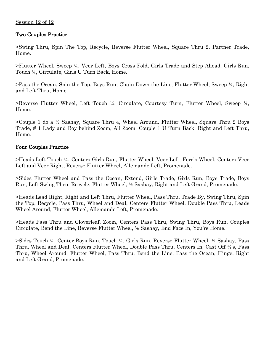# Session 12 of 12

# Two Couples Practice

>Swing Thru, Spin The Top, Recycle, Reverse Flutter Wheel, Square Thru 2, Partner Trade, Home.

>Flutter Wheel, Sweep ¼, Veer Left, Boys Cross Fold, Girls Trade and Step Ahead, Girls Run, Touch ¼, Circulate, Girls U Turn Back, Home.

>Pass the Ocean, Spin the Top, Boys Run, Chain Down the Line, Flutter Wheel, Sweep ¼, Right and Left Thru, Home.

>Reverse Flutter Wheel, Left Touch ¼, Circulate, Courtesy Turn, Flutter Wheel, Sweep ¼, Home.

>Couple 1 do a ½ Sashay, Square Thru 4, Wheel Around, Flutter Wheel, Square Thru 2 Boys Trade, # 1 Lady and Boy behind Zoom, All Zoom, Couple 1 U Turn Back, Right and Left Thru, Home.

# Four Couples Practice

>Heads Left Touch ¼, Centers Girls Run, Flutter Wheel, Veer Left, Ferris Wheel, Centers Veer Left and Veer Right, Reverse Flutter Wheel, Allemande Left, Promenade.

>Sides Flutter Wheel and Pass the Ocean, Extend, Girls Trade, Girls Run, Boys Trade, Boys Run, Left Swing Thru, Recycle, Flutter Wheel, ½ Sashay, Right and Left Grand, Promenade.

>Heads Lead Right, Right and Left Thru, Flutter Wheel, Pass Thru, Trade By, Swing Thru, Spin the Top, Recycle, Pass Thru, Wheel and Deal, Centers Flutter Wheel, Double Pass Thru, Leads Wheel Around, Flutter Wheel, Allemande Left, Promenade.

>Heads Pass Thru and Cloverleaf, Zoom, Centers Pass Thru, Swing Thru, Boys Run, Couples Circulate, Bend the Line, Reverse Flutter Wheel, ½ Sashay, End Face In, You're Home.

>Sides Touch ¼, Center Boys Run, Touch ¼, Girls Run, Reverse Flutter Wheel, ½ Sashay, Pass Thru, Wheel and Deal, Centers Flutter Wheel, Double Pass Thru, Centers In, Cast Off ¾'s, Pass Thru, Wheel Around, Flutter Wheel, Pass Thru, Bend the Line, Pass the Ocean, Hinge, Right and Left Grand, Promenade.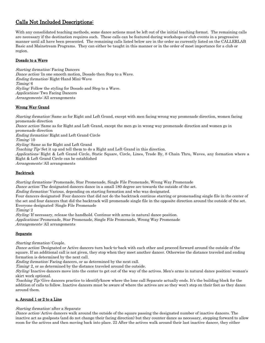# Calls Not Included Descriptions:

With any consolidated teaching methods, some dance actions must be left out of the initial teaching format. The remaining calls are necessary if the destination requires such. These calls can be featured during workshops or club events in a progressive manner until all have been presented. The remaining calls listed below are in the order as currently listed on the CALLERLAB Basic and Mainstream Programs. They can either be taught in this manner or in the order of most importance for a club or region.

# Dosado to a Wave

Starting formation: Facing Dancers Dance action: In one smooth motion, Dosado then Step to a Wave. Ending formation: Right-Hand Mini-Wave Timing: 6 Styling: Follow the styling for Dosado and Step to a Wave. Applications: Two Facing Dancers Arrangements: All arrangements

# Wrong Way Grand

Starting formation: Same as for Right and Left Grand, except with men facing wrong way promenade direction, women facing promenade direction Dance action: Same as for Right and Left Grand, except the men go in wrong way promenade direction and women go in promenade direction Ending formation: Right and Left Grand Circle Timing: 10 Styling: Same as for Right and Left Grand Teaching Tip: Set it up and tell them to do a Right and Left Grand in this direction. Applications: Right & Left Grand Circle, Static Square, Circle, Lines, Trade By, 8 Chain Thru, Waves, any formation where a Right & Left Grand Circle can be established

Arrangements: All arrangements

## **Backtrack**

Starting formations: Promenade, Star Promenade, Single File Promenade, Wrong Way Promenade

Dance action: The designated dancers dance in a small 180 degree arc towards the outside of the set.

Ending formation: Various, depending on starting formation and who was designated.

Four dancers designated: Four dancers that did not do the backtrack continue starring or promenading single file in the center of the set and four dancers that did the backtrack will promenade single file in the opposite direction around the outside of the set. Everyone designated: Single File Promenade

Timing: 2

Styling: If necessary, release the handhold. Continue with arms in natural dance position. Applications: Promenade, Star Promenade, Single File Promenade, Wrong Way Promenade Arrangements: All arrangements

## **Separate**

Starting formation: Couple.

Dance action: Designated or Active dancers turn back-to-back with each other and proceed forward around the outside of the square. If an additional call is not given, they stop when they meet another dancer. Otherwise the distance traveled and ending formation is determined by the next call.

Ending formation: Facing dancers, or as determined by the next call.

Timing: 2, or as determined by the distance traveled around the outside.

Styling: Inactive dancers move into the center to get out of the way of the actives. Men's arms in natural dance position; woman's skirt work optional.

Teaching Tip: Give dancers practice to identify/know where the lone call Separate actually ends. It's the building block for the addition of calls to follow. Inactive dancers must be aware of where the actives are so they won't step on their feet as they dance around them.

# a. Around 1 or 2 to a Line

Starting formation: after a Separate

Dance action: Active dancers walk around the outside of the square passing the designated number of inactive dancers. The inactive act as goalposts (and do not change their facing direction) but they counter dance as necessary, stepping forward to allow room for the actives and then moving back into place. 22 After the actives walk around their last inactive dancer, they either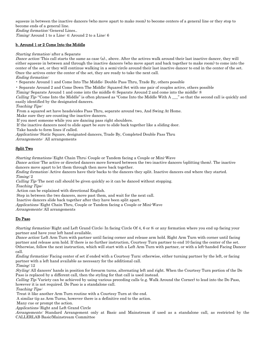squeeze in between the inactive dancers (who move apart to make room) to become centers of a general line or they stop to become ends of a general line.

Ending formation: General Lines..

Timing: Around 1 to a Line: 4; Around 2 to a Line: 6

# b. Around 1 or 2 Come Into the Middle

## Starting formation: after a Separate

Dance action: This call starts the same as case (a)., above. After the actives walk around their last inactive dancer, they will either squeeze in between and through the inactive dancers (who move apart and back together to make room) to come into the center of the set, or they will continue walking in a semi-circle around their last inactive dancer to end in the center of the set. Once the actives enter the center of the set, they are ready to take the next call.

Ending formation:

• Separate Around 1 and Come Into The Middle: Double Pass Thru, Trade By, others possible

• Separate Around 2 and Come Down The Middle: Squared Set with one pair of couples active, others possible

Timing: Separate Around 1 and come into the middle 6; Separate Around 2 and come into the middle: 8

*Calling Tip*: "Come Into the Middle" is often phrased as "Come Into the Middle With  $A_{\text{max}}$ " so that the second call is quickly and easily identified by the designated dancers.

Teaching Tips:

From a squared set have heads/sides Pass Thru, separate around two, And Swing At Home.

Make sure they are counting the inactive dancers.

If you meet someone while you are dancing pass right shoulders.

If the inactive dancers need to slide apart be sure to slide back together like a sliding door.

Take hands to form lines if called.

Applications: Static Square, designated dancers, Trade By, Completed Double Pass Thru

Arrangements: All arrangements

# Split Two

Starting formations: Eight Chain Thru; Couple or Tandem facing a Couple or Mini-Wave

Dance action: The active or directed dancers move forward between the two inactive dancers (splitting them). The inactive dancers move apart to let them through then move back together.

Ending formation: Active dancers have their backs to the dancers they split. Inactive dancers end where they started. Timing: 2

Calling Tip: The next call should be given quickly so it can be danced without stopping.

Teaching Tips:

Action can be explained with directional English.

Step in between the two dancers, move past them, and wait for the next call.

Inactive dancers slide back together after they have been split apart.

Applications: Eight Chain Thru, Couple or Tandem facing a Couple or Mini-Wave

Arrangements: All arrangements

# Do Paso

Starting formation: Right and Left Grand Circle; In facing Circle Of 4, 6 or 8; or any formation where you end up facing your partner and have your left hand available.

Dance action: Left Arm Turn with partner until facing corner and release arm hold. Right Arm Turn with corner until facing partner and release arm hold. If there is no further instruction, Courtesy Turn partner to end 10 facing the center of the set. Otherwise, follow the next instruction, which will start with a Left Arm Turn with partner, or with a left-handed Facing Dancer call.

Ending formation: Facing center of set if ended with a Courtesy Turn; otherwise, either turning partner by the left, or facing partner with a left hand available as necessary for the additional call.

Timing: 12

Styling: All dancers' hands in position for forearm turns, alternating left and right. When the Courtesy Turn portion of the Do Paso is replaced by a different call, then the styling for that call is used instead.

Calling Tip: Variety can be achieved by using various preceding calls (e.g. Walk Around the Corner) to lead into the Do Paso, however it is not required. Do Paso is a standalone call.

Teaching Tips:

Treat it like another Arm Turn routine with a Courtesy Turn at the end.

A similar tip as Arm Turns, however there is a definitive end to the action.

Many cue or prompt the action.

Applications: Right and Left Grand Circle

Arrangements: Standard Arrangement only at Basic and Mainstream if used as a standalone call, as restricted by the CALLERLAB Basic/Mainstream Committee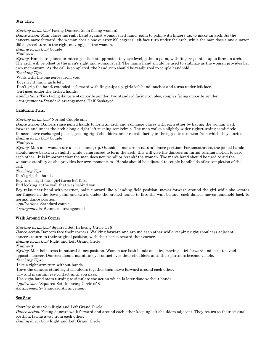# Star Thru

Starting formation: Facing Dancers (man facing woman)

Dance action: Man places his right hand against woman's left hand, palm to palm with fingers up, to make an arch. As the dancers move forward, the woman does a one quarter (90 degrees) left face turn under the arch, while the man does a one quarter (90 degrees) turn to the right moving past the woman.

Ending formation: Couple

Timing: 4

Styling: Hands are joined in raised position at approximately eye level, palm to palm, with fingers pointed up to form an arch. The arch will be offset to the man's right and woman's left. The man's hand should be used to stabilize as the woman provides her own momentum. As the call is completed, the hand grip should be readjusted to couple handhold. Teaching Tips:

Work with the one across from you.

Boys right hand, girls left.

Don't grip the hand; extended it forward with fingertips up, girls left hand touches and turns under left face.

Girl goes under the arched hands.

Applications: Two facing dancers of opposite gender, two standard facing couples, couples facing opposite gender Arrangements: Standard arrangement, Half Sashayed

# California Twirl

Starting formation: Normal Couple only

Dance action: Dancers raise joined hands to form an arch and exchange places with each other by having the woman walk forward and under the arch along a tight left-turning semi-circle. The man walks a slightly wider right-turning semi-circle. Dancers have exchanged places, passing right shoulders, and are both facing in the opposite direction from which they started. Ending formation: Couple

Timing: 4

Styling: Man and woman use a loose hand grip. Outside hands are in natural dance position. For smoothness, the joined hands should move backward slightly while being raised to form the arch; this will give the dancers an initial turning motion toward each other. It is important that the man does not "wind" or "crank" the woman. The man's hand should be used to aid the woman's stability as she provides her own momentum. Hands should be adjusted to couple handholds after completion of the call.

Teaching Tips:

Don't grip the hands.

Boy turns right face, girl turns left face.

End looking at the wall that was behind you.

Boy raise near hand with partner, palm upward like a landing field position, moves forward around the girl while she rotates her fingers in the boys palm and twirls under the arched hands to face the wall behind; each dancer moves handhold back to normal dance position.

Applications: Standard couple

Arrangements: Standard arrangement

## Walk Around the Corner

Starting formation: Squared Set, In facing Circle Of 8

Dance action: Dancers face their corners. Walking forward and around each other while keeping right shoulders adjacent, dancers return to their original position, with their backs toward their corner.

Ending formation: Right and Left Grand Circle

Timing: 8

Styling: Men hold arms in natural dance position. Women use both hands on skirt, moving skirt forward and back to avoid opposite dancer. Dancers should maintain eye contact over their shoulders until their partners become visible. Teaching Tips:

Like a right arm turn without hands.

Have the dancers stand right shoulders together then move forward around each other.

Try and maintain eye contact until you pass.

Use right hand stars turning to simulate the action which is later done without hands.

Applications: Squared Set, In facing Circle of 8

Arrangements: Standard Arrangement

# See Saw

Starting formation: Right and Left Grand Circle

Dance action: Facing dancers walk forward and around each other keeping left shoulders adjacent. They return to their original position, facing away from each other.

Ending formation: Right and Left Grand Circle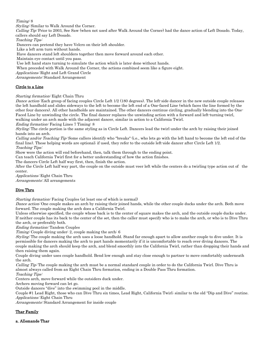## Timing: 8

Styling: Similar to Walk Around the Corner.

Calling Tip: Prior to 2003, See Saw (when not used after Walk Around the Corner) had the dance action of Left Dosado. Today, callers should say Left Dosado.

Teaching Tips:

Dancers can pretend they have Velcro on their left shoulder.

Like a left arm turn without hands.

Have dancers stand left shoulders together then move forward around each other.

Maintain eye contact until you pass.

Use left hand stars turning to simulate the action which is later done without hands.

When preceded with Walk Around the Corner, the actions combined seem like a figure eight.

Applications: Right and Left Grand Circle

Arrangements: Standard Arrangement

# Circle to a Line

Starting formation: Eight Chain Thru

Dance action: Each group of facing couples Circle Left 1/2 (180 degrees). The left-side dancer in the new outside couple releases the left handhold and slides sideways to the left to become the left end of a One-faced Line (which faces the line formed by the other four dancers). All other handholds are maintained. The other dancers continue circling, gradually blending into the One-Faced Line by unwinding the circle. The final dancer replaces the unwinding action with a forward and left-turning twirl, walking under an arch made with the adjacent dancer, similar in action to a California Twirl.

Ending formation: Facing Lines 7 Timing: 8

Styling: The circle portion is the same styling as in Circle Left. Dancers lead the twirl under the arch by raising their joined hands into an arch.

Calling and/or Teaching Tip: Some callers identify who "breaks" (i.e., who lets go with the left hand to become the left end of the final line). These helping words are optional; if used, they refer to the outside left-side dancer after Circle Left 1/2. Teaching Tips:

Show were the action will end beforehand, then, talk them through to the ending point.

Can teach California Twirl first for a better understanding of how the action finishes.

The dancers Circle Left half way first, then, finish the action.

After the Circle Left half way part, the couple on the outside must veer left while the centers do a twirling type action out of the center.

Applications: Eight Chain Thru

Arrangements: All arrangements

# Dive Thru

Starting formation: Facing Couples (at least one of which is normal)

Dance action: One couple makes an arch by raising their joined hands, while the other couple ducks under the arch. Both move forward. The couple making the arch does a California Twirl.

Unless otherwise specified, the couple whose back is to the center of square makes the arch, and the outside couple ducks under. If neither couple has its back to the center of the set, then the caller must specify who is to make the arch, or who is to Dive Thru the arch, or preferably both.

Ending formation: Tandem Couples

Timing: Couple diving under: 2, couple making the arch: 6

Styling: The couple making the arch uses a loose handhold. Stand far enough apart to allow another couple to dive under. It is permissible for dancers making the arch to part hands momentarily if it is uncomfortable to reach over diving dancers. The couple making the arch should keep the arch, and blend smoothly into the California Twirl, rather than dropping their hands and then raising them again.

Couple diving under uses couple handhold. Bend low enough and stay close enough to partner to move comfortably underneath the arch.

Calling Tip: The couple making the arch must be a normal standard couple in order to do the California Twirl. Dive Thru is almost always called from an Eight Chain Thru formation, ending in a Double Pass Thru formation.

Teaching Tips: Centers arch, move forward while the outsiders duck under.

Archers moving forward can let go.

Outside dancers "dive" into the swimming pool in the middle.

Couple #1 Lead Right, those who can Dive Thru six times, Lead Right, California Twirl; similar to the old "Dip and Dive" routine. Applications: Eight Chain Thru

Arrangements: Standard Arrangement for inside couple

## Thar Family

a. Allemande Thar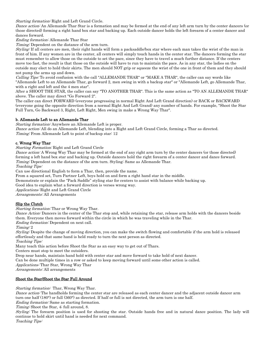Starting formation: Right and Left Grand Circle.

Dance action: An Allemande Thar Star is a formation and may be formed at the end of any left arm turn by the center dancers (or those directed) forming a right hand box star and backing up. Each outside dancer holds the left forearm of a center dancer and dances forward.

Ending formation: Allemande Thar Star

Timing: Dependent on the distance of the arm turn.

Styling: If all centers are men, their right hands will form a packsaddle/box star where each man takes the wrist of the man in front of him. If any women are in the center, all centers will simply touch hands in the center star. The dancers forming the star must remember to allow those on the outside to set the pace, since they have to travel a much further distance. If the centers move too fast, the result is that those on the outside will have to run to maintain the pace. As in any star, the ladies on the outside may elect to hold their skirts. The men should NOT grip or squeeze the wrist of the one in front of them and they should not pump the arms up and down.

Calling Tips: To avoid confusion with the call "ALLEMANDE THAR" or "MAKE A THAR", the caller can say words like "Allemande Left to an Allemande Thar, go forward 2, men swing in with a backup star" or "Allemande Left, go Allemande Thar, with a right and left and the 4 men star".

After a SHOOT THE STAR, the caller can say "TO ANOTHER THAR". This is the same action as "TO AN ALLEMANDE THAR" above. The caller may direct "Go Forward 2".

The caller can direct FORWARD (everyone progressing in normal Right And Left Grand direction) or BACK or BACKWARD (everyone going the opposite direction from a normal Right And Left Grand) any number of hands. For example, "Shoot the Star Full Turn, Go Backward 3, Right, Left Right, Men swing in make a Wrong Way Thar".

## b. Allemande Left to an Allemande Thar

Starting formation: Anywhere an Allemande Left is proper.

Dance action: All do an Allemande Left, blending into a Right and Left Grand Circle, forming a Thar as directed. Timing: From Allemande Left to point of backup star: 12

## c. Wrong Way Thar

Starting Formation: Right and Left Grand Circle

Dance action: A Wrong Way Thar may be formed at the end of any right arm turn by the center dancers (or those directed) forming a left hand box star and backing up. Outside dancers hold the right forearm of a center dancer and dance forward. Timing: Dependent on the distance of the arm turn. Styling: Same as Allemande Thar.

Teaching Tips:

Can use directional English to form a Thar, then, provide the name.

From a squared set, Turn Partner Left, boys hold on and form a right hand star in the middle.

Demonstrate or explain the "Pack Saddle" styling star for centers to assist with balance while backing up.

Good idea to explain what a forward direction is verses wrong way.

Applications: Right and Left Grand Circle

Arrangements: All Arrangements

## Slip the Clutch

Starting formation: Thar or Wrong Way Thar.

Dance Action: Dancers in the center of the Thar stop and, while retaining the star, release arm holds with the dancers beside them. Everyone then moves forward within the circle in which he was traveling while in the Thar.

Ending formation: Dependent on next call.

Timing: 2

Styling: Despite the change of moving direction, you can make the switch flowing and comfortable if the arm hold is released effortlessly and that same hand is held ready to turn the next person as directed.

Teaching Tips:

Many teach this action before Shoot the Star as an easy way to get out of Thars.

Centers must stop to meet the outsiders.

Drop near hands, maintain hand hold with center star and move forward to take hold of next dancer.

Can be done multiple times in a row or asked to keep moving forward until some other action is called.

Applications: Thar Star, Wrong Way Thar

Arrangements: All arrangements

## Shoot the Star/Shoot the Star Full Around

Starting formation: Thar, Wrong Way Thar.

Dance action: The handholds forming the center star are released as each center dancer and the adjacent outside dancer arm turn one half (180°) or full (360°) as directed. If half or full is not directed, the arm turn is one half.

Ending formation: Same as starting formation.

Timing: Shoot the Star, 4; full around, 8.

Styling: The forearm position is used for shooting the star. Outside hands free and in natural dance position. The lady will continue to hold skirt until hand is needed for next command. Teaching Tips: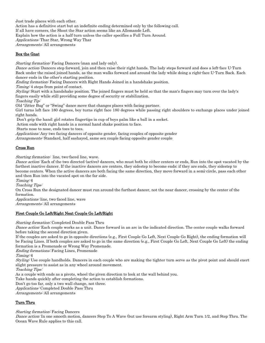Just trade places with each other. Action has a definitive start but an indefinite ending determined only by the following call. If all have corners, the Shoot the Star action seems like an Allemande Left. Explain how the action is a half turn unless the caller specifies a Full Turn Around. Applications: Thar Star, Wrong Way Thar Arrangements: All arrangements

Box the Gnat

Starting formation: Facing Dancers (man and lady only).

Dance action: Dancers step forward, join and then raise their right hands. The lady steps forward and does a left-face U-Turn Back under the raised joined hands, as the man walks forward and around the lady while doing a right-face U-Turn Back. Each dancer ends in the other's starting position.

Ending formation: Facing Dancers with Right Hands Joined in a handshake position.

Timing: 4 steps from point of contact.

Styling: Start with a handshake position. The joined fingers must be held so that the man's fingers may turn over the lady's fingers easily while still providing some degree of security or stabilization.

Teaching Tip:

Old "Jitter Bug" or "Swing" dance move that changes places with facing partner.

Girl turns left face 180 degrees, boy turns right face 180 degrees while passing right shoulders to exchange places under joined right hands.

Don't grip the hand; girl rotates fingertips in cup of boys palm like a ball in a socket.

Action ends with right hands in a normal hand shake position to face.

Starts nose to nose, ends toes to toes.

Applications: Any two facing dancers of opposite gender, facing couples of opposite gender

Arrangements: Standard, half sashayed, same sex couple facing opposite gender couple

## Cross Run

Starting formation: line, two-faced line, wave.

Dance action: Each of the two directed (active) dancers, who must both be either centers or ends, Run into the spot vacated by the farthest inactive dancer. If the inactive dancers are centers, they sidestep to become ends; if they are ends, they sidestep to become centers. When the active dancers are both facing the same direction, they move forward in a semi-circle, pass each other and then Run into the vacated spot on the far side.

Timing: 6

Teaching Tips:

On Cross Run the designated dancer must run around the furthest dancer, not the near dancer, crossing by the center of the formation.

Applications: line, two-faced line, wave

Arrangements: All arrangements

## First Couple Go Left/Right Next Couple Go Left/Right

Starting formation: Completed Double Pass Thru

Dance action: Each couple works as a unit. Dance forward in an arc in the indicated direction. The center couple walks forward before taking the second direction given.

If the couples are asked to go in opposite directions (e.g., First Couple Go Left, Next Couple Go Right), the ending formation will be Facing Lines. If both couples are asked to go in the same direction (e.g., First Couple Go Left, Next Couple Go Left) the ending formation is a Promenade or Wrong Way Promenade.

Ending formations: Facing Lines, Promenade

Timing: 6

Styling: Use couple handholds. Dancers in each couple who are making the tighter turn serve as the pivot point and should exert slight pressure to assist as in any wheel around movement.

Teaching Tips:

As a couple with ends as a pivots, wheel the given direction to look at the wall behind you.

Take hands quickly after completing the action to establish formations.

Don't go too far, only a two wall change, not three.

Applications: Completed Double Pass Thru

Arrangements: All arrangements

## Turn Thru

Starting formation: Facing Dancers

Dance action: In one smooth motion, dancers Step To A Wave (but use forearm styling), Right Arm Turn 1/2, and Step Thru. The Ocean Wave Rule applies to this call.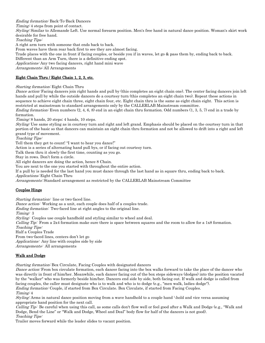Ending formation: Back-To-Back Dancers

Timing: 4 steps from point of contact.

Styling: Similar to Allemande Left. Use normal forearm position. Men's free hand in natural dance position. Woman's skirt work desirable for free hand.

Teaching Tips:

A right arm turn with someone that ends back to back.

From waves have them rear back first to see they are almost facing.

Trade places with the one in front if facing couples, or beside you if in waves, let go & pass them by, ending back to back.

Different than an Arm Turn, there is a definitive ending spot.

Applications: Any two facing dancers, right hand mini wave

Arrangements: All Arrangements

# Eight Chain Thru / Eight Chain 1, 2, 3, etc.

Starting formation: Eight Chain Thru

Dance action: Facing dancers join right hands and pull by (this completes an eight chain one). The center facing dancers join left hands and pull by while the outside dancers do a courtesy turn (this completes an eight chain two). Repeat these actions in sequence to achieve eight chain three, eight chain four, etc. Eight chain thru is the same as eight chain eight. This action is restricted at mainstream to standard arrangements only by the CALLERLAB Mainstream committee.

*Ending formation:* Even numbers  $(2, 4, 6, 8)$  end in an eight chain thru formation. Odd numbers  $(1, 3, 5, 7)$  end in a trade by formation.

Timing: 8 hands, 20 steps; 4 hands, 10 steps.

Styling: Use same styling as in courtesy turn and right and left grand. Emphasis should be placed on the courtesy turn in that portion of the basic so that dancers can maintain an eight chain thru formation and not be allowed to drift into a right and left grand type of movement.

Teaching Tips:

Tell them they get to count! "I want to hear you dance!"

Action is a series of alternating hand pull bys, or if facing out courtesy turn.

Talk them thru it slowly the first time, counting as you go.

Stay in rows. Don't form a circle.

All eight dancers are doing the action, hence 8 Chain.

You are next to the one you started with throughout the entire action.

If a pull by is needed for the last hand you must dance through the last hand as in square thru, ending back to back. Applications: Eight Chain Thru

Arrangements: Standard arrangement as restricted by the CALLERLAB Mainstream Committee

## Couples Hinge

Starting formation: line or two-faced line.

Dance action: Working as a unit, each couple does half of a couples trade.

Ending formation: Two-faced line at right angles to the original line.

Timing: 3

Styling: Couples use couple handhold and styling similar to wheel and deal.

Calling Tip: From a 2x4 formation make sure there is space between squares and the room to allow for a 1x8 formation. Teaching Tips:

Half a Couples Trade

From two-faced lines, centers don't let go Applications: Any line with couples side by side Arrangements: All arrangements

# Walk and Dodge

*Starting formation:* Box Circulate, Facing Couples with designated dancers

Dance action: From box circulate formation, each dancer facing into the box walks forward to take the place of the dancer who was directly in front of him/her. Meanwhile, each dancer facing out of the box steps sideways (dodges) into the position vacated by the "walker" who was formerly beside him/her. Dancers end side by side, both facing out. If walk and dodge is called from facing couples, the caller must designate who is to walk and who is to dodge (e.g., "men walk, ladies dodge").

Ending formation: Couple, if started from Box Circulate. Box Circulate, if started from Facing Couples. Timing: 4

Styling: Arms in natural dance position moving from a wave handhold to a couple hand \hold and vice versa assuming appropriate hand position for the next call.

Calling Tip: Be careful when using this call, as some calls don't flow well or feel good after a Walk and Dodge (e.g., "Walk and Dodge, Bend the Line" or "Walk and Dodge, Wheel and Deal" body flow for half of the dancers is not good). Teaching Tips:

Trailer moves forward while the leader slides to vacant position.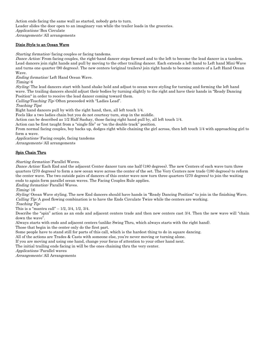Action ends facing the same wall as started, nobody gets to turn. Leader slides the door open to an imaginary van while the trailer loads in the groceries. Applications: Box Circulate Arrangements: All arrangements

# Dixie Style to an Ocean Wave

Starting formation: facing couples or facing tandems.

Dance Action: From facing couples, the right-hand dancer steps forward and to the left to become the lead dancer in a tandem. Lead dancers join right hands and pull by moving to the other trailing dancer. Each extends a left hand to Left hand Mini-Wave and turns one quarter (90 degrees). The new centers (original trailers) join right hands to become centers of a Left Hand Ocean Wave.

Ending formation: Left Hand Ocean Wave.

Timing: 6

Styling: The lead dancers start with hand shake hold and adjust to ocean wave styling for turning and forming the left hand wave. The trailing dancers should adjust their bodies by turning slightly to the right and have their hands in "Ready Dancing Position" in order to receive the lead dancer coming toward them.

Calling/Teaching Tip: Often proceeded with "Ladies Lead".

Teaching Tips:

Right hand dancers pull by with the right hand, then, all left touch 1/4.

Feels like a two ladies chain but you do not courtesy turn, stop in the middle.

Action can be described as 1/2 Half Sashay, those facing right hand pull by, all left touch 1/4.

Action can be first taught from a "single file" or "on the double track" position.

From normal facing couples, boy backs up, dodges right while chaining the girl across, then left touch 1/4 with approaching girl to form a wave.

Applications: Facing couple, facing tandems

Arrangements: All arrangements

# Spin Chain Thru

Starting formation: Parallel Waves.

Dance Action: Each End and the adjacent Center dancer turn one half (180 degrees). The new Centers of each wave turn three quarters (270 degrees) to form a new ocean wave across the center of the set. The Very Centers now trade (180 degrees) to reform the center wave. The two outside pairs of dancers of this center wave now turn three quarters (270 degrees) to join the waiting ends to again form parallel ocean waves. The Facing Couples Rule applies.

Ending formation: Parallel Waves.

Timing: 16

Styling: Ocean Wave styling. The new End dancers should have hands in "Ready Dancing Position" to join in the finishing Wave. Calling Tip: A good flowing combination is to have the Ends Circulate Twice while the centers are working. Teaching Tip:

This is a "mantra call" – 1/2, 3/4, 1/2, 3/4.

Describe the "spin" action as an ends and adjacent centers trade and then new centers cast 3/4. Then the new wave will "chain down the wave".

Always starts with ends and adjacent centers (unlike Swing Thru, which always starts with the right hand).

Those that begin in the center only do the first part.

Some people have to stand still for parts of this call, which is the hardest thing to do in square dancing.

All of the actions are Trades & Casts with someone else, you're never moving or turning alone.

If you are moving and using one hand, change your focus of attention to your other hand next.

The initial trailing ends facing in will be the ones chaining thru the very center.

Applications: Parallel waves

Arrangements: All Arrangements